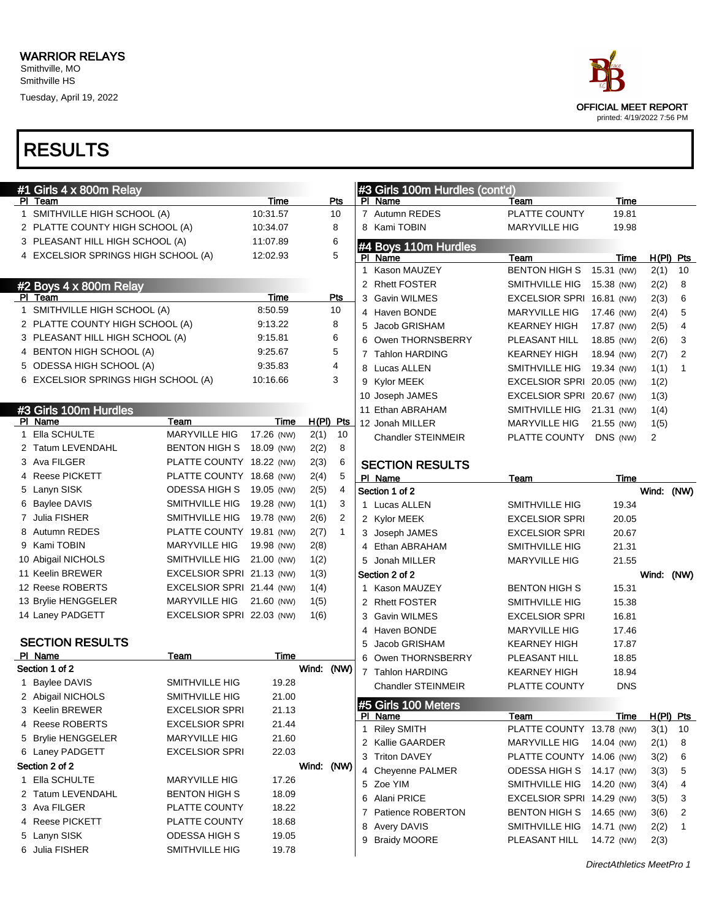| ace                                                       |
|-----------------------------------------------------------|
| <b>OFFICIAL MEET REPORT</b><br>printed: 4/19/2022 7:56 PM |

|   | $#1$ Girls 4 x 800m Relay<br>PI Team |                           | Time       |            | Pts          |                | #3 Girls 100m Hurdles (cont'd)<br>PI Name | Team                      | Time       |            |                  |
|---|--------------------------------------|---------------------------|------------|------------|--------------|----------------|-------------------------------------------|---------------------------|------------|------------|------------------|
|   | 1 SMITHVILLE HIGH SCHOOL (A)         |                           | 10:31.57   |            | 10           |                | 7 Autumn REDES                            | PLATTE COUNTY             | 19.81      |            |                  |
|   | 2 PLATTE COUNTY HIGH SCHOOL (A)      |                           | 10:34.07   |            | 8            |                | 8 Kami TOBIN                              | <b>MARYVILLE HIG</b>      | 19.98      |            |                  |
|   | 3 PLEASANT HILL HIGH SCHOOL (A)      |                           | 11:07.89   |            | 6            |                |                                           |                           |            |            |                  |
|   | 4 EXCELSIOR SPRINGS HIGH SCHOOL (A)  |                           | 12:02.93   |            | 5            |                | #4 Boys 110m Hurdles<br>PI Name           | Team                      | Time       |            | $H(PI)$ Pts      |
|   |                                      |                           |            |            |              | $\mathbf{1}$   | Kason MAUZEY                              | <b>BENTON HIGH S</b>      | 15.31 (NW) | 2(1)       | 10               |
|   | #2 Boys 4 x 800m Relay               |                           |            |            |              |                | 2 Rhett FOSTER                            | SMITHVILLE HIG            | 15.38 (NW) | 2(2)       | 8                |
|   | PI Team                              |                           | Time       |            | Pts          |                | 3 Gavin WILMES                            | EXCELSIOR SPRI 16.81 (NW) |            | 2(3)       | 6                |
|   | 1 SMITHVILLE HIGH SCHOOL (A)         |                           | 8:50.59    |            | 10           |                | 4 Haven BONDE                             | <b>MARYVILLE HIG</b>      | 17.46 (NW) | 2(4)       | 5                |
|   | 2 PLATTE COUNTY HIGH SCHOOL (A)      |                           | 9:13.22    |            | 8            | 5              | Jacob GRISHAM                             | <b>KEARNEY HIGH</b>       | 17.87 (NW) | 2(5)       | 4                |
|   | 3 PLEASANT HILL HIGH SCHOOL (A)      |                           | 9:15.81    |            | 6            | 6              | Owen THORNSBERRY                          | PLEASANT HILL             | 18.85 (NW) | 2(6)       | 3                |
|   | 4 BENTON HIGH SCHOOL (A)             |                           | 9:25.67    |            | 5            |                | 7 Tahlon HARDING                          | <b>KEARNEY HIGH</b>       | 18.94 (NW) | 2(7)       | $\overline{2}$   |
|   | 5 ODESSA HIGH SCHOOL (A)             |                           | 9:35.83    |            | 4            |                | 8 Lucas ALLEN                             | SMITHVILLE HIG            | 19.34 (NW) | 1(1)       | $\mathbf{1}$     |
|   | 6 EXCELSIOR SPRINGS HIGH SCHOOL (A)  |                           | 10:16.66   |            | 3            | 9              | Kylor MEEK                                | EXCELSIOR SPRI 20.05 (NW) |            | 1(2)       |                  |
|   |                                      |                           |            |            |              |                | 10 Joseph JAMES                           | EXCELSIOR SPRI 20.67 (NW) |            | 1(3)       |                  |
|   | #3 Girls 100m Hurdles                |                           |            |            |              |                | 11 Ethan ABRAHAM                          | SMITHVILLE HIG            | 21.31 (NW) | 1(4)       |                  |
|   | PI Name                              | Team                      | Time       | H(PI) Pts  |              |                | 12 Jonah MILLER                           | <b>MARYVILLE HIG</b>      | 21.55 (NW) | 1(5)       |                  |
|   | 1 Ella SCHULTE                       | <b>MARYVILLE HIG</b>      | 17.26 (NW) | 2(1)       | 10           |                | <b>Chandler STEINMEIR</b>                 | PLATTE COUNTY             | DNS (NW)   | 2          |                  |
|   | 2 Tatum LEVENDAHL                    | BENTON HIGH S             | 18.09 (NW) | 2(2)       | 8            |                |                                           |                           |            |            |                  |
|   | 3 Ava FILGER                         | PLATTE COUNTY 18.22 (NW)  |            | 2(3)       | 6            |                | <b>SECTION RESULTS</b>                    |                           |            |            |                  |
| 4 | <b>Reese PICKETT</b>                 | PLATTE COUNTY 18.68 (NW)  |            | 2(4)       | 5            |                | PI Name                                   | Team                      | Time       |            |                  |
|   | 5 Lanyn SISK                         | <b>ODESSA HIGH S</b>      | 19.05 (NW) | 2(5)       | 4            |                | Section 1 of 2                            |                           |            | Wind: (NW) |                  |
|   | 6 Baylee DAVIS                       | SMITHVILLE HIG            | 19.28 (NW) | 1(1)       | 3            |                | 1 Lucas ALLEN                             | <b>SMITHVILLE HIG</b>     | 19.34      |            |                  |
|   | 7 Julia FISHER                       | SMITHVILLE HIG            | 19.78 (NW) | 2(6)       | 2            |                | 2 Kylor MEEK                              | <b>EXCELSIOR SPRI</b>     | 20.05      |            |                  |
|   | 8 Autumn REDES                       | PLATTE COUNTY 19.81 (NW)  |            | 2(7)       | $\mathbf{1}$ |                | 3 Joseph JAMES                            | <b>EXCELSIOR SPRI</b>     | 20.67      |            |                  |
|   | 9 Kami TOBIN                         | <b>MARYVILLE HIG</b>      | 19.98 (NW) | 2(8)       |              |                | 4 Ethan ABRAHAM                           | <b>SMITHVILLE HIG</b>     | 21.31      |            |                  |
|   | 10 Abigail NICHOLS                   | SMITHVILLE HIG            | 21.00 (NW) | 1(2)       |              |                | 5 Jonah MILLER                            | <b>MARYVILLE HIG</b>      | 21.55      |            |                  |
|   | 11 Keelin BREWER                     | EXCELSIOR SPRI 21.13 (NW) |            | 1(3)       |              |                | Section 2 of 2                            |                           |            | Wind: (NW) |                  |
|   | 12 Reese ROBERTS                     | EXCELSIOR SPRI 21.44 (NW) |            | 1(4)       |              |                | 1 Kason MAUZEY                            | <b>BENTON HIGH S</b>      | 15.31      |            |                  |
|   | 13 Brylie HENGGELER                  | <b>MARYVILLE HIG</b>      | 21.60 (NW) | 1(5)       |              |                | 2 Rhett FOSTER                            | SMITHVILLE HIG            | 15.38      |            |                  |
|   | 14 Laney PADGETT                     | EXCELSIOR SPRI 22.03 (NW) |            | 1(6)       |              | 3              | <b>Gavin WILMES</b>                       | <b>EXCELSIOR SPRI</b>     | 16.81      |            |                  |
|   | <b>SECTION RESULTS</b>               |                           |            |            |              |                | 4 Haven BONDE                             | <b>MARYVILLE HIG</b>      | 17.46      |            |                  |
|   | PI Name                              | Team                      | Time       |            |              | 5              | Jacob GRISHAM                             | <b>KEARNEY HIGH</b>       | 17.87      |            |                  |
|   | Section 1 of 2                       |                           |            | Wind: (NW) |              | 6              | Owen THORNSBERRY                          | PLEASANT HILL             | 18.85      |            |                  |
|   | 1 Baylee DAVIS                       | SMITHVILLE HIG            | 19.28      |            |              | $\overline{7}$ | <b>Tahlon HARDING</b>                     | <b>KEARNEY HIGH</b>       | 18.94      |            |                  |
|   | 2 Abigail NICHOLS                    | SMITHVILLE HIG            | 21.00      |            |              |                | <b>Chandler STEINMEIR</b>                 | PLATTE COUNTY             | <b>DNS</b> |            |                  |
|   | 3 Keelin BREWER                      | <b>EXCELSIOR SPRI</b>     | 21.13      |            |              |                | #5 Girls 100 Meters                       |                           |            |            |                  |
|   | 4 Reese ROBERTS                      | <b>EXCELSIOR SPRI</b>     | 21.44      |            |              |                | PI Name                                   | <u>Team</u>               | Time       |            | <u>H(PI) Pts</u> |
|   | 5 Brylie HENGGELER                   | MARYVILLE HIG             | 21.60      |            |              |                | 1 Riley SMITH                             | PLATTE COUNTY 13.78 (NW)  |            | 3(1)       | - 10             |
|   | 6 Laney PADGETT                      | <b>EXCELSIOR SPRI</b>     | 22.03      |            |              |                | 2 Kallie GAARDER                          | <b>MARYVILLE HIG</b>      | 14.04 (NW) | 2(1)       | 8                |
|   | Section 2 of 2                       |                           |            | Wind: (NW) |              |                | 3 Triton DAVEY                            | PLATTE COUNTY 14.06 (NW)  |            | 3(2)       | 6                |
|   | 1 Ella SCHULTE                       | <b>MARYVILLE HIG</b>      | 17.26      |            |              |                | 4 Cheyenne PALMER                         | ODESSA HIGH S 14.17 (NW)  |            | 3(3)       | 5                |
|   | 2 Tatum LEVENDAHL                    | <b>BENTON HIGH S</b>      | 18.09      |            |              |                | 5 Zoe YIM                                 | SMITHVILLE HIG            | 14.20 (NW) | 3(4)       | 4                |
|   | 3 Ava FILGER                         | PLATTE COUNTY             | 18.22      |            |              |                | 6 Alani PRICE                             | EXCELSIOR SPRI 14.29 (NW) |            | 3(5)       | 3                |
|   | 4 Reese PICKETT                      | PLATTE COUNTY             | 18.68      |            |              |                | 7 Patience ROBERTON                       | BENTON HIGH S 14.65 (NW)  |            | 3(6)       | 2                |
|   | 5 Lanyn SISK                         | ODESSA HIGH S             | 19.05      |            |              |                | 8 Avery DAVIS                             | SMITHVILLE HIG            | 14.71 (NW) | 2(2)       | 1                |
|   | 6 Julia FISHER                       | SMITHVILLE HIG            | 19.78      |            |              |                | 9 Braidy MOORE                            | PLEASANT HILL             | 14.72 (NW) | 2(3)       |                  |
|   |                                      |                           |            |            |              |                |                                           |                           |            |            |                  |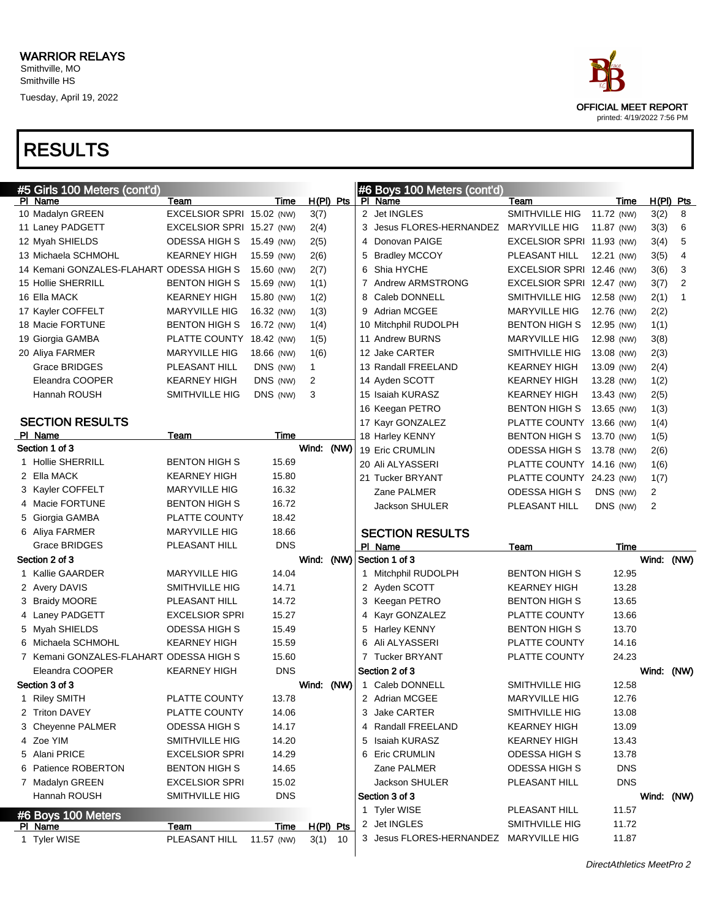RESULTS



DirectAthletics MeetPro 2

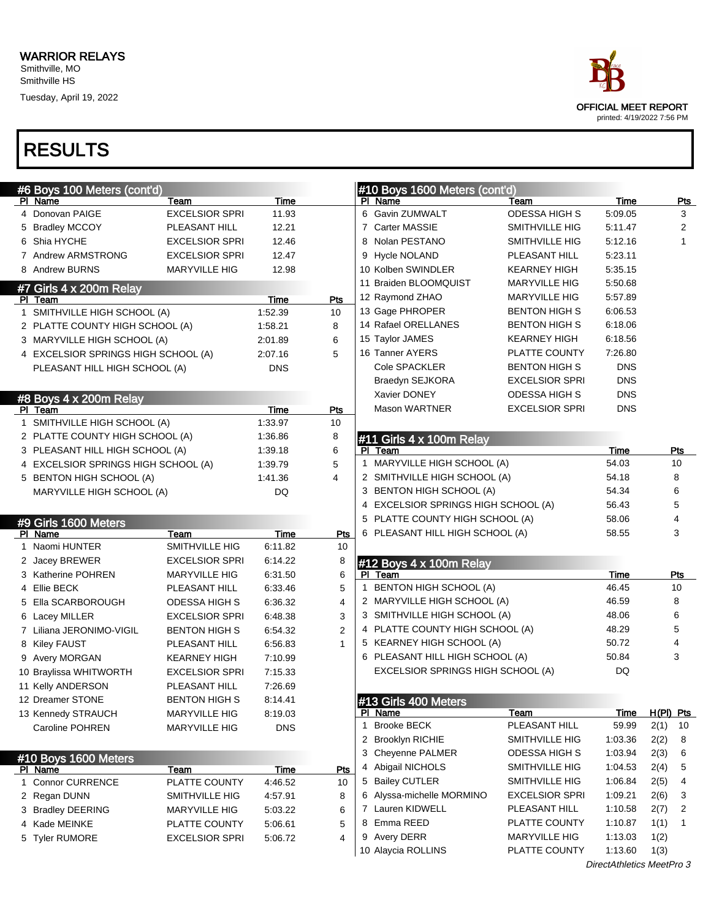

| #6 Boys 100 Meters (cont'd)         |                       |            |                |             | #10 Boys 1600 Meters (cont'd)        |                                  |                    |                                     |                |
|-------------------------------------|-----------------------|------------|----------------|-------------|--------------------------------------|----------------------------------|--------------------|-------------------------------------|----------------|
| PI Name                             | Team                  | Time       |                |             | PI Name                              | Team                             | Time               |                                     | <b>Pts</b>     |
| 4 Donovan PAIGE                     | <b>EXCELSIOR SPRI</b> | 11.93      |                |             | 6 Gavin ZUMWALT                      | <b>ODESSA HIGH S</b>             | 5:09.05            |                                     | 3              |
| 5 Bradley MCCOY                     | PLEASANT HILL         | 12.21      |                |             | 7 Carter MASSIE                      | SMITHVILLE HIG                   | 5:11.47            |                                     | $\overline{2}$ |
| 6 Shia HYCHE                        | <b>EXCELSIOR SPRI</b> | 12.46      |                |             | 8 Nolan PESTANO                      | SMITHVILLE HIG                   | 5:12.16            |                                     | $\mathbf{1}$   |
| 7 Andrew ARMSTRONG                  | <b>EXCELSIOR SPRI</b> | 12.47      |                |             | 9 Hycle NOLAND                       | PLEASANT HILL                    | 5:23.11            |                                     |                |
| 8 Andrew BURNS                      | <b>MARYVILLE HIG</b>  | 12.98      |                |             | 10 Kolben SWINDLER                   | <b>KEARNEY HIGH</b>              | 5:35.15            |                                     |                |
| #7 Girls 4 x 200m Relay             |                       |            |                |             | 11 Braiden BLOOMQUIST                | <b>MARYVILLE HIG</b>             | 5:50.68            |                                     |                |
| PI Team                             |                       | Time       | Pts            |             | 12 Raymond ZHAO                      | <b>MARYVILLE HIG</b>             | 5:57.89            |                                     |                |
| 1 SMITHVILLE HIGH SCHOOL (A)        |                       | 1:52.39    | 10             |             | 13 Gage PHROPER                      | <b>BENTON HIGH S</b>             | 6:06.53            |                                     |                |
| 2 PLATTE COUNTY HIGH SCHOOL (A)     |                       | 1:58.21    | 8              |             | 14 Rafael ORELLANES                  | <b>BENTON HIGH S</b>             | 6:18.06            |                                     |                |
| 3 MARYVILLE HIGH SCHOOL (A)         |                       | 2:01.89    | 6              |             | 15 Taylor JAMES                      | <b>KEARNEY HIGH</b>              | 6:18.56            |                                     |                |
| 4 EXCELSIOR SPRINGS HIGH SCHOOL (A) |                       | 2:07.16    | 5              |             | 16 Tanner AYERS                      | PLATTE COUNTY                    | 7:26.80            |                                     |                |
| PLEASANT HILL HIGH SCHOOL (A)       |                       | <b>DNS</b> |                |             | Cole SPACKLER                        | <b>BENTON HIGH S</b>             | <b>DNS</b>         |                                     |                |
|                                     |                       |            |                |             | Braedyn SEJKORA                      | <b>EXCELSIOR SPRI</b>            | <b>DNS</b>         |                                     |                |
| #8 Boys 4 x 200m Relay              |                       |            |                |             | Xavier DONEY                         | ODESSA HIGH S                    | <b>DNS</b>         |                                     |                |
| PI Team                             |                       | Time       | Pts            |             | <b>Mason WARTNER</b>                 | <b>EXCELSIOR SPRI</b>            | <b>DNS</b>         |                                     |                |
| 1 SMITHVILLE HIGH SCHOOL (A)        |                       | 1:33.97    | 10             |             |                                      |                                  |                    |                                     |                |
| 2 PLATTE COUNTY HIGH SCHOOL (A)     |                       | 1:36.86    | 8              |             | #11 Girls 4 x 100m Relay             |                                  |                    |                                     |                |
| 3 PLEASANT HILL HIGH SCHOOL (A)     |                       | 1:39.18    | 6              |             | PI Team                              |                                  | Time               |                                     | <b>Pts</b>     |
| 4 EXCELSIOR SPRINGS HIGH SCHOOL (A) |                       | 1:39.79    | 5              | 1           | MARYVILLE HIGH SCHOOL (A)            | 54.03                            |                    | 10                                  |                |
| 5 BENTON HIGH SCHOOL (A)            |                       | 1:41.36    | 4              |             | 2 SMITHVILLE HIGH SCHOOL (A)         |                                  | 54.18              |                                     | 8              |
| MARYVILLE HIGH SCHOOL (A)           |                       | DQ         |                |             | 3 BENTON HIGH SCHOOL (A)             |                                  | 54.34              |                                     | 6              |
|                                     |                       |            |                |             | 4 EXCELSIOR SPRINGS HIGH SCHOOL (A)  |                                  | 56.43              |                                     | 5              |
| #9 Girls 1600 Meters                |                       |            |                |             | 5 PLATTE COUNTY HIGH SCHOOL (A)      |                                  | 58.06              |                                     | 4              |
| PI Name                             | Team                  | Time       | <b>Pts</b>     |             | 6 PLEASANT HILL HIGH SCHOOL (A)      |                                  | 58.55              |                                     | 3              |
| 1 Naomi HUNTER                      | SMITHVILLE HIG        | 6:11.82    | 10             |             |                                      |                                  |                    |                                     |                |
| 2 Jacey BREWER                      | <b>EXCELSIOR SPRI</b> | 6:14.22    | 8              |             | #12 Boys 4 x 100m Relay              |                                  |                    |                                     |                |
| 3 Katherine POHREN                  | <b>MARYVILLE HIG</b>  | 6:31.50    | 6              |             | PI Team                              |                                  | Time               |                                     | Pts            |
| 4 Ellie BECK                        | PLEASANT HILL         | 6:33.46    | 5              |             | 1 BENTON HIGH SCHOOL (A)             |                                  | 46.45              |                                     | 10             |
| 5 Ella SCARBOROUGH                  | <b>ODESSA HIGH S</b>  | 6:36.32    | $\overline{4}$ |             | 2 MARYVILLE HIGH SCHOOL (A)          |                                  | 46.59              |                                     | 8              |
| 6 Lacey MILLER                      | <b>EXCELSIOR SPRI</b> | 6.48.38    | 3              |             | 3 SMITHVILLE HIGH SCHOOL (A)         |                                  | 48.06              |                                     | 6              |
| 7 Liliana JERONIMO-VIGIL            | <b>BENTON HIGH S</b>  | 6:54.32    | $\overline{2}$ |             | 4 PLATTE COUNTY HIGH SCHOOL (A)      |                                  | 48.29              |                                     | 5              |
| 8 Kiley FAUST                       | PLEASANT HILL         | 6:56.83    | $\mathbf{1}$   |             | 5 KEARNEY HIGH SCHOOL (A)            |                                  | 50.72              |                                     | 4              |
| 9 Avery MORGAN                      | <b>KEARNEY HIGH</b>   | 7:10.99    |                |             | 6 PLEASANT HILL HIGH SCHOOL (A)      |                                  | 50.84              |                                     | 3              |
| 10 Braylissa WHITWORTH              | <b>EXCELSIOR SPRI</b> | 7:15.33    |                |             | EXCELSIOR SPRINGS HIGH SCHOOL (A)    |                                  | DQ                 |                                     |                |
| 11 Kelly ANDERSON                   | PLEASANT HILL         | 7.26.69    |                |             |                                      |                                  |                    |                                     |                |
| 12 Dreamer STONE                    | <b>BENTON HIGH S</b>  | 8:14.41    |                |             | #13 Girls 400 Meters                 |                                  |                    |                                     |                |
| 13 Kennedy STRAUCH                  | <b>MARYVILLE HIG</b>  | 8:19.03    |                |             | PI Name                              | Team<br>PLEASANT HILL            | <u>Time</u>        | H(PI) Pts                           |                |
| <b>Caroline POHREN</b>              | <b>MARYVILLE HIG</b>  | <b>DNS</b> |                | $\mathbf 1$ | <b>Brooke BECK</b>                   |                                  | 59.99              | 2(1)                                | 10             |
|                                     |                       |            |                |             | 2 Brooklyn RICHIE                    | SMITHVILLE HIG<br>ODESSA HIGH S  | 1:03.36            | 2(2)                                | 8              |
| #10 Boys 1600 Meters                |                       |            |                |             | 3 Cheyenne PALMER                    |                                  | 1:03.94            | 2(3)                                | 6              |
| PI Name                             | Team                  | Time       | Pts            |             | 4 Abigail NICHOLS<br>5 Bailey CUTLER | SMITHVILLE HIG<br>SMITHVILLE HIG | 1:04.53<br>1:06.84 | 2(4)                                | 5<br>4         |
| 1 Connor CURRENCE                   | PLATTE COUNTY         | 4:46.52    | 10             |             | 6 Alyssa-michelle MORMINO            | <b>EXCELSIOR SPRI</b>            | 1:09.21            | 2(5)                                |                |
| 2 Regan DUNN                        | SMITHVILLE HIG        | 4:57.91    | 8              |             | 7 Lauren KIDWELL                     | PLEASANT HILL                    | 1:10.58            | 2(6)                                | 3              |
| 3 Bradley DEERING                   | <b>MARYVILLE HIG</b>  | 5:03.22    | 6              |             | 8 Emma REED                          | PLATTE COUNTY                    | 1:10.87            | 2(7)                                | 2<br>1         |
| 4 Kade MEINKE                       | PLATTE COUNTY         | 5:06.61    | 5<br>4         |             | 9 Avery DERR                         | <b>MARYVILLE HIG</b>             | 1:13.03            | 1(1)<br>1(2)                        |                |
| 5 Tyler RUMORE                      | <b>EXCELSIOR SPRI</b> | 5:06.72    |                |             | 10 Alaycia ROLLINS                   | PLATTE COUNTY                    | 1:13.60            | 1(3)                                |                |
|                                     |                       |            |                |             |                                      | n:.                              |                    | $M_{\odot}$ at $D_{\odot}$ $\Omega$ |                |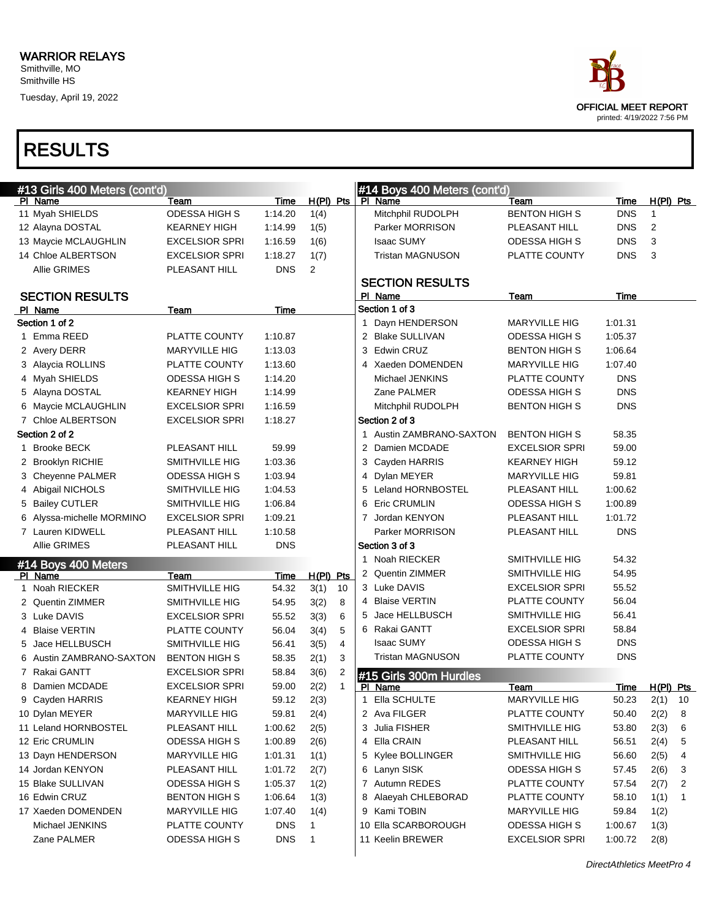

| #13 Girls 400 Meters (cont'd)  |                       |                          |                |              | #14 Boys 400 Meters (cont'd) |                                   |                                        |             |                |   |
|--------------------------------|-----------------------|--------------------------|----------------|--------------|------------------------------|-----------------------------------|----------------------------------------|-------------|----------------|---|
| PI Name                        | Team                  | Time                     | $H(PI)$ Pts    |              |                              | PI Name                           | Team                                   | <b>Time</b> | $H(PI)$ Pts    |   |
| 11 Myah SHIELDS                | ODESSA HIGH S         | 1:14.20                  | 1(4)           |              |                              | Mitchphil RUDOLPH                 | <b>BENTON HIGH S</b>                   | <b>DNS</b>  | $\mathbf{1}$   |   |
| 12 Alayna DOSTAL               | <b>KEARNEY HIGH</b>   | 1:14.99                  | 1(5)           |              |                              | Parker MORRISON                   | PLEASANT HILL                          | <b>DNS</b>  | $\overline{2}$ |   |
| 13 Maycie MCLAUGHLIN           | <b>EXCELSIOR SPRI</b> | 1:16.59                  | 1(6)           |              |                              | <b>Isaac SUMY</b>                 | <b>ODESSA HIGH S</b>                   | <b>DNS</b>  | 3              |   |
| 14 Chloe ALBERTSON             | <b>EXCELSIOR SPRI</b> | 1:18.27                  | 1(7)           |              |                              | <b>Tristan MAGNUSON</b>           | PLATTE COUNTY                          | <b>DNS</b>  | 3              |   |
| <b>Allie GRIMES</b>            | PLEASANT HILL         | <b>DNS</b>               | $\overline{2}$ |              |                              |                                   |                                        |             |                |   |
|                                |                       |                          |                |              |                              | <b>SECTION RESULTS</b>            |                                        |             |                |   |
| <b>SECTION RESULTS</b>         |                       |                          |                |              |                              | PI Name                           | Team                                   | Time        |                |   |
| PI Name                        | Team                  | Time                     |                |              |                              | Section 1 of 3                    |                                        |             |                |   |
| Section 1 of 2                 |                       |                          |                |              |                              | Dayn HENDERSON                    | <b>MARYVILLE HIG</b>                   | 1:01.31     |                |   |
| 1 Emma REED                    | PLATTE COUNTY         | 1:10.87                  |                |              |                              | 2 Blake SULLIVAN                  | ODESSA HIGH S                          | 1:05.37     |                |   |
| 2 Avery DERR                   | MARYVILLE HIG         | 1:13.03                  |                |              |                              | 3 Edwin CRUZ                      | <b>BENTON HIGH S</b>                   | 1:06.64     |                |   |
| 3 Alaycia ROLLINS              | PLATTE COUNTY         | 1:13.60                  |                |              |                              | 4 Xaeden DOMENDEN                 | <b>MARYVILLE HIG</b>                   | 1:07.40     |                |   |
| 4 Myah SHIELDS                 | <b>ODESSA HIGH S</b>  | 1:14.20                  |                |              |                              | Michael JENKINS                   | PLATTE COUNTY                          | <b>DNS</b>  |                |   |
| 5 Alayna DOSTAL                | <b>KEARNEY HIGH</b>   | 1:14.99                  |                |              |                              | Zane PALMER                       | ODESSA HIGH S                          | <b>DNS</b>  |                |   |
| 6 Maycie MCLAUGHLIN            | <b>EXCELSIOR SPRI</b> | 1:16.59                  |                |              |                              | Mitchphil RUDOLPH                 | <b>BENTON HIGH S</b>                   | <b>DNS</b>  |                |   |
| 7 Chloe ALBERTSON              | <b>EXCELSIOR SPRI</b> | 1:18.27                  |                |              |                              | Section 2 of 3                    |                                        |             |                |   |
| Section 2 of 2                 |                       |                          |                |              |                              | 1 Austin ZAMBRANO-SAXTON          | <b>BENTON HIGH S</b>                   | 58.35       |                |   |
| 1 Brooke BECK                  | PLEASANT HILL         | 59.99                    |                |              |                              | 2 Damien MCDADE                   | <b>EXCELSIOR SPRI</b>                  | 59.00       |                |   |
| 2 Brooklyn RICHIE              | SMITHVILLE HIG        | 1:03.36                  |                |              |                              | 3 Cayden HARRIS                   | <b>KEARNEY HIGH</b>                    | 59.12       |                |   |
| 3 Cheyenne PALMER              | <b>ODESSA HIGH S</b>  | 1:03.94                  |                |              |                              | 4 Dylan MEYER                     | <b>MARYVILLE HIG</b>                   | 59.81       |                |   |
| 4 Abigail NICHOLS              | SMITHVILLE HIG        | 1:04.53                  |                |              |                              | 5 Leland HORNBOSTEL               | PLEASANT HILL                          | 1:00.62     |                |   |
| 5 Bailey CUTLER                | SMITHVILLE HIG        | 1:06.84                  |                |              |                              | 6 Eric CRUMLIN                    | ODESSA HIGH S                          | 1:00.89     |                |   |
| 6 Alyssa-michelle MORMINO      | <b>EXCELSIOR SPRI</b> | 1:09.21                  |                |              |                              | 7 Jordan KENYON                   | PLEASANT HILL                          | 1:01.72     |                |   |
| 7 Lauren KIDWELL               | PLEASANT HILL         | 1:10.58                  |                |              |                              | Parker MORRISON                   | PLEASANT HILL                          | <b>DNS</b>  |                |   |
| <b>Allie GRIMES</b>            | PLEASANT HILL         | <b>DNS</b>               |                |              |                              | Section 3 of 3                    |                                        |             |                |   |
|                                |                       |                          |                |              |                              | 1 Noah RIECKER                    | SMITHVILLE HIG                         | 54.32       |                |   |
| #14 Boys 400 Meters<br>PI Name | Team                  | <b>Time</b>              | $H(PI)$ Pts    |              |                              | 2 Quentin ZIMMER                  | SMITHVILLE HIG                         | 54.95       |                |   |
| 1 Noah RIECKER                 | SMITHVILLE HIG        | 54.32                    | 3(1)           | 10           |                              | 3 Luke DAVIS                      | <b>EXCELSIOR SPRI</b>                  | 55.52       |                |   |
| 2 Quentin ZIMMER               | SMITHVILLE HIG        | 54.95                    | 3(2)           | 8            |                              | 4 Blaise VERTIN                   | PLATTE COUNTY                          | 56.04       |                |   |
| 3 Luke DAVIS                   | <b>EXCELSIOR SPRI</b> | 55.52                    | 3(3)           | 6            |                              | 5 Jace HELLBUSCH                  | SMITHVILLE HIG                         | 56.41       |                |   |
| 4 Blaise VERTIN                | PLATTE COUNTY         | 56.04                    | 3(4)           | 5            |                              | 6 Rakai GANTT                     | <b>EXCELSIOR SPRI</b>                  | 58.84       |                |   |
| 5 Jace HELLBUSCH               | SMITHVILLE HIG        | 56.41                    | 3(5)           | 4            |                              | <b>Isaac SUMY</b>                 | <b>ODESSA HIGH S</b>                   | <b>DNS</b>  |                |   |
| 6 Austin ZAMBRANO-SAXTON       | <b>BENTON HIGH S</b>  | 58.35                    | 2(1)           | 3            |                              | <b>Tristan MAGNUSON</b>           | PLATTE COUNTY                          | <b>DNS</b>  |                |   |
| 7 Rakai GANTT                  | <b>EXCELSIOR SPRI</b> | 58.84                    | 3(6)           | 2            |                              |                                   |                                        |             |                |   |
| 8 Damien MCDADE                | <b>EXCELSIOR SPRI</b> | 59.00                    | 2(2)           | $\mathbf{1}$ |                              | #15 Girls 300m Hurdles<br>PI Name | Team                                   | <u>Time</u> | $H(PI)$ Pts    |   |
| 9 Cayden HARRIS                | <b>KEARNEY HIGH</b>   | 59.12                    | 2(3)           |              | 1                            | Ella SCHULTE                      | <b>MARYVILLE HIG</b>                   | 50.23       | $2(1)$ 10      |   |
| 10 Dylan MEYER                 | MARYVILLE HIG         | 59.81                    | 2(4)           |              |                              | 2 Ava FILGER                      | PLATTE COUNTY                          | 50.40       | 2(2)           | 8 |
| 11 Leland HORNBOSTEL           | PLEASANT HILL         | 1:00.62                  | 2(5)           |              |                              | 3 Julia FISHER                    | SMITHVILLE HIG                         | 53.80       | 2(3)           | 6 |
| 12 Eric CRUMLIN                | ODESSA HIGH S         | 1:00.89                  | 2(6)           |              |                              | 4 Ella CRAIN                      | PLEASANT HILL                          | 56.51       | 2(4)           | 5 |
| 13 Dayn HENDERSON              | MARYVILLE HIG         | 1:01.31                  | 1(1)           |              |                              | 5 Kylee BOLLINGER                 | SMITHVILLE HIG                         | 56.60       | 2(5)           | 4 |
| 14 Jordan KENYON               | PLEASANT HILL         | 1:01.72                  | 2(7)           |              |                              | 6 Lanyn SISK                      | ODESSA HIGH S                          | 57.45       | 2(6)           | 3 |
| 15 Blake SULLIVAN              | ODESSA HIGH S         | 1:05.37                  | 1(2)           |              |                              | 7 Autumn REDES                    | PLATTE COUNTY                          | 57.54       | 2(7)           |   |
|                                |                       |                          |                |              |                              | 8 Alaeyah CHLEBORAD               | PLATTE COUNTY                          |             |                | 2 |
| 16 Edwin CRUZ                  | <b>BENTON HIGH S</b>  | 1:06.64                  | 1(3)           |              |                              | 9 Kami TOBIN                      |                                        | 58.10       | 1(1)           | 1 |
| 17 Xaeden DOMENDEN             | MARYVILLE HIG         | 1:07.40                  | 1(4)           |              |                              |                                   | <b>MARYVILLE HIG</b>                   | 59.84       | 1(2)           |   |
| Michael JENKINS<br>Zane PALMER | PLATTE COUNTY         | <b>DNS</b><br><b>DNS</b> | 1              |              |                              | 10 Ella SCARBOROUGH               | ODESSA HIGH S<br><b>EXCELSIOR SPRI</b> | 1:00.67     | 1(3)           |   |
|                                | ODESSA HIGH S         |                          | $\mathbf{1}$   |              |                              | 11 Keelin BREWER                  |                                        | 1:00.72     | 2(8)           |   |
|                                |                       |                          |                |              |                              |                                   |                                        |             |                |   |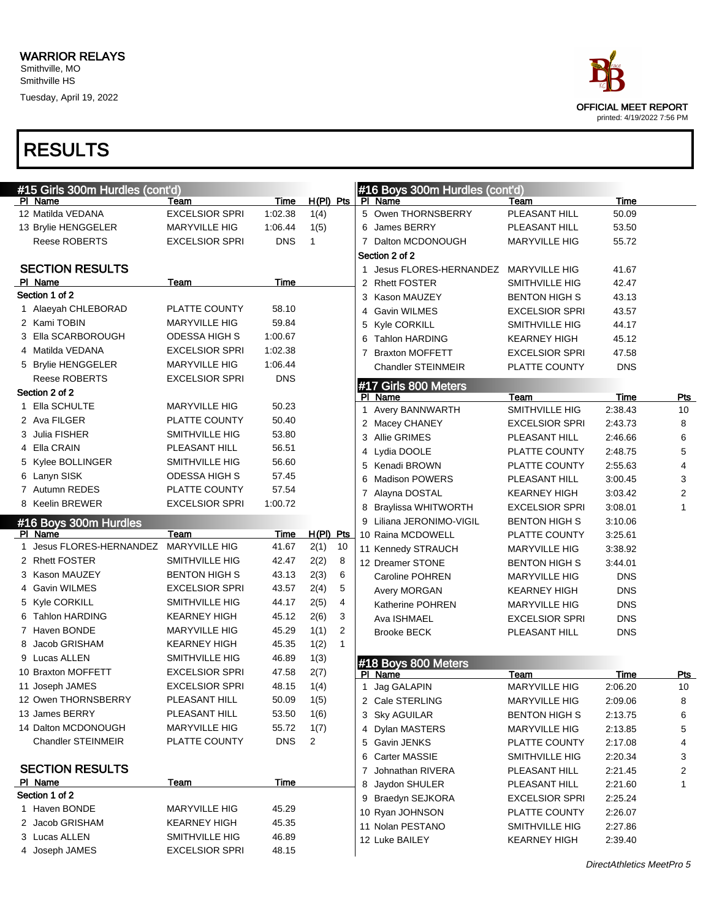

| #15 Girls 300m Hurdles (cont'd) |                       |             |                |                |   | #16 Boys 300m Hurdles (cont'd)         |                       |             |              |
|---------------------------------|-----------------------|-------------|----------------|----------------|---|----------------------------------------|-----------------------|-------------|--------------|
| PI Name                         | Team                  | <b>Time</b> | H(PI) Pts      |                |   | PI Name                                | Team                  | Time        |              |
| 12 Matilda VEDANA               | <b>EXCELSIOR SPRI</b> | 1:02.38     | 1(4)           |                |   | 5 Owen THORNSBERRY                     | PLEASANT HILL         | 50.09       |              |
| 13 Brylie HENGGELER             | <b>MARYVILLE HIG</b>  | 1:06.44     | 1(5)           |                |   | 6 James BERRY                          | PLEASANT HILL         | 53.50       |              |
| Reese ROBERTS                   | <b>EXCELSIOR SPRI</b> | <b>DNS</b>  | $\mathbf{1}$   |                |   | 7 Dalton MCDONOUGH                     | <b>MARYVILLE HIG</b>  | 55.72       |              |
|                                 |                       |             |                |                |   | Section 2 of 2                         |                       |             |              |
| <b>SECTION RESULTS</b>          |                       |             |                |                |   | 1 Jesus FLORES-HERNANDEZ MARYVILLE HIG |                       | 41.67       |              |
| PI Name                         | Team                  | Time        |                |                |   | 2 Rhett FOSTER                         | SMITHVILLE HIG        | 42.47       |              |
| Section 1 of 2                  |                       |             |                |                |   | 3 Kason MAUZEY                         | <b>BENTON HIGH S</b>  | 43.13       |              |
| 1 Alaeyah CHLEBORAD             | PLATTE COUNTY         | 58.10       |                |                |   | 4 Gavin WILMES                         | <b>EXCELSIOR SPRI</b> | 43.57       |              |
| 2 Kami TOBIN                    | MARYVILLE HIG         | 59.84       |                |                |   | 5 Kyle CORKILL                         | SMITHVILLE HIG        | 44.17       |              |
| 3 Ella SCARBOROUGH              | <b>ODESSA HIGH S</b>  | 1:00.67     |                |                |   | <b>Tahlon HARDING</b>                  | <b>KEARNEY HIGH</b>   | 45.12       |              |
| 4 Matilda VEDANA                | <b>EXCELSIOR SPRI</b> | 1:02.38     |                |                | 7 | <b>Braxton MOFFETT</b>                 | <b>EXCELSIOR SPRI</b> | 47.58       |              |
| 5 Brylie HENGGELER              | <b>MARYVILLE HIG</b>  | 1:06.44     |                |                |   | <b>Chandler STEINMEIR</b>              | PLATTE COUNTY         | <b>DNS</b>  |              |
| Reese ROBERTS                   | <b>EXCELSIOR SPRI</b> | <b>DNS</b>  |                |                |   | #17 Girls 800 Meters                   |                       |             |              |
| Section 2 of 2                  |                       |             |                |                |   | PI Name                                | Team                  | Time        | Pts          |
| 1 Ella SCHULTE                  | <b>MARYVILLE HIG</b>  | 50.23       |                |                |   | 1 Avery BANNWARTH                      | SMITHVILLE HIG        | 2:38.43     | 10           |
| 2 Ava FILGER                    | PLATTE COUNTY         | 50.40       |                |                |   | 2 Macey CHANEY                         | <b>EXCELSIOR SPRI</b> | 2:43.73     | 8            |
| 3 Julia FISHER                  | SMITHVILLE HIG        | 53.80       |                |                |   | 3 Allie GRIMES                         | PLEASANT HILL         | 2:46.66     | 6            |
| 4 Ella CRAIN                    | PLEASANT HILL         | 56.51       |                |                |   | 4 Lydia DOOLE                          | PLATTE COUNTY         | 2:48.75     | 5            |
| 5 Kylee BOLLINGER               | SMITHVILLE HIG        | 56.60       |                |                |   | 5 Kenadi BROWN                         | PLATTE COUNTY         | 2:55.63     | 4            |
| 6 Lanyn SISK                    | <b>ODESSA HIGH S</b>  | 57.45       |                |                |   | <b>Madison POWERS</b>                  | PLEASANT HILL         | 3:00.45     | 3            |
| 7 Autumn REDES                  | PLATTE COUNTY         | 57.54       |                |                |   | 7 Alayna DOSTAL                        | <b>KEARNEY HIGH</b>   | 3:03.42     | 2            |
| 8 Keelin BREWER                 | <b>EXCELSIOR SPRI</b> | 1:00.72     |                |                |   | 8 Braylissa WHITWORTH                  | <b>EXCELSIOR SPRI</b> | 3:08.01     | $\mathbf{1}$ |
| #16 Boys 300m Hurdles           |                       |             |                |                |   | 9 Liliana JERONIMO-VIGIL               | <b>BENTON HIGH S</b>  | 3:10.06     |              |
| PI Name                         | Team                  | Time        | $H(PI)$ Pts    |                |   | 10 Raina MCDOWELL                      | PLATTE COUNTY         | 3:25.61     |              |
| Jesus FLORES-HERNANDEZ          | <b>MARYVILLE HIG</b>  | 41.67       | 2(1)           | 10             |   | 11 Kennedy STRAUCH                     | <b>MARYVILLE HIG</b>  | 3:38.92     |              |
| 2 Rhett FOSTER                  | SMITHVILLE HIG        | 42.47       | 2(2)           | 8              |   | 12 Dreamer STONE                       | <b>BENTON HIGH S</b>  | 3:44.01     |              |
| 3 Kason MAUZEY                  | <b>BENTON HIGH S</b>  | 43.13       | 2(3)           | 6              |   | Caroline POHREN                        | <b>MARYVILLE HIG</b>  | <b>DNS</b>  |              |
| 4 Gavin WILMES                  | <b>EXCELSIOR SPRI</b> | 43.57       | 2(4)           | 5              |   | Avery MORGAN                           | <b>KEARNEY HIGH</b>   | <b>DNS</b>  |              |
| 5 Kyle CORKILL                  | SMITHVILLE HIG        | 44.17       | 2(5)           | 4              |   | Katherine POHREN                       | <b>MARYVILLE HIG</b>  | <b>DNS</b>  |              |
| 6 Tahlon HARDING                | <b>KEARNEY HIGH</b>   | 45.12       | 2(6)           | 3              |   | Ava ISHMAEL                            | <b>EXCELSIOR SPRI</b> | <b>DNS</b>  |              |
| 7 Haven BONDE                   | <b>MARYVILLE HIG</b>  | 45.29       | 1(1)           | $\overline{2}$ |   | <b>Brooke BECK</b>                     | PLEASANT HILL         | <b>DNS</b>  |              |
| 8 Jacob GRISHAM                 | <b>KEARNEY HIGH</b>   | 45.35       | 1(2)           | $\mathbf{1}$   |   |                                        |                       |             |              |
| 9 Lucas ALLEN                   | SMITHVILLE HIG        | 46.89       | 1(3)           |                |   | #18 Boys 800 Meters                    |                       |             |              |
| 10 Braxton MOFFETT              | <b>EXCELSIOR SPRI</b> | 47.58       | 2(7)           |                |   | PI Name                                | Team                  | <b>Time</b> | <b>Pts</b>   |
| 11 Joseph JAMES                 | <b>EXCELSIOR SPRI</b> | 48.15       | 1(4)           |                |   | 1 Jag GALAPIN                          | <b>MARYVILLE HIG</b>  | 2:06.20     | 10           |
| 12 Owen THORNSBERRY             | PLEASANT HILL         | 50.09       | 1(5)           |                |   | 2 Cale STERLING                        | MARYVILLE HIG         | 2:09.06     | 8            |
| 13 James BERRY                  | PLEASANT HILL         | 53.50       | 1(6)           |                |   | 3 Sky AGUILAR                          | <b>BENTON HIGH S</b>  | 2:13.75     | 6            |
| 14 Dalton MCDONOUGH             | MARYVILLE HIG         | 55.72       | 1(7)           |                |   | 4 Dylan MASTERS                        | MARYVILLE HIG         | 2:13.85     | 5            |
| <b>Chandler STEINMEIR</b>       | PLATTE COUNTY         | <b>DNS</b>  | $\overline{2}$ |                |   | 5 Gavin JENKS                          | PLATTE COUNTY         | 2:17.08     | 4            |
|                                 |                       |             |                |                |   | 6 Carter MASSIE                        | SMITHVILLE HIG        | 2:20.34     | 3            |
| <b>SECTION RESULTS</b>          |                       |             |                |                |   | 7 Johnathan RIVERA                     | PLEASANT HILL         | 2:21.45     | 2            |
| PI Name                         | <b>Team</b>           | Time        |                |                |   | 8 Jaydon SHULER                        | PLEASANT HILL         | 2:21.60     | 1            |
| Section 1 of 2                  |                       |             |                |                |   | 9 Braedyn SEJKORA                      | <b>EXCELSIOR SPRI</b> | 2:25.24     |              |
| 1 Haven BONDE                   | <b>MARYVILLE HIG</b>  | 45.29       |                |                |   | 10 Ryan JOHNSON                        | PLATTE COUNTY         | 2:26.07     |              |
| 2 Jacob GRISHAM                 | <b>KEARNEY HIGH</b>   | 45.35       |                |                |   | 11 Nolan PESTANO                       | SMITHVILLE HIG        | 2:27.86     |              |
| 3 Lucas ALLEN                   | SMITHVILLE HIG        | 46.89       |                |                |   | 12 Luke BAILEY                         | <b>KEARNEY HIGH</b>   | 2:39.40     |              |
| 4 Joseph JAMES                  | <b>EXCELSIOR SPRI</b> | 48.15       |                |                |   |                                        |                       |             |              |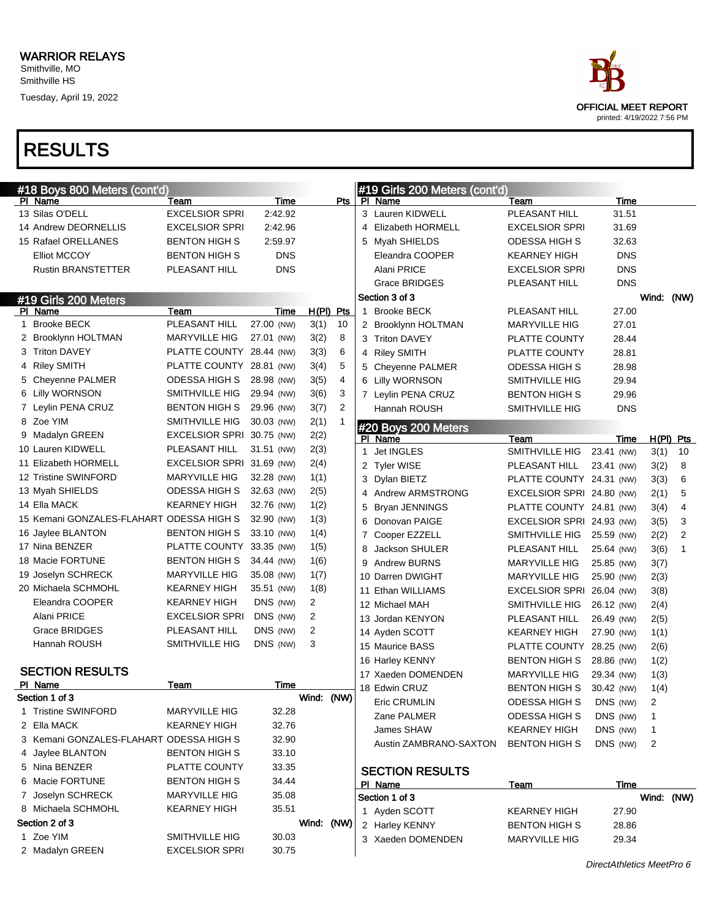

| #18 Boys 800 Meters (cont'd)             |                           |            |             |                |   | #19 Girls 200 Meters (cont'd) |                           |                           |              |             |
|------------------------------------------|---------------------------|------------|-------------|----------------|---|-------------------------------|---------------------------|---------------------------|--------------|-------------|
| PI Name                                  | Team                      | Time       |             | Pts            |   | PI Name                       | Team                      | Time                      |              |             |
| 13 Silas O'DELL                          | <b>EXCELSIOR SPRI</b>     | 2:42.92    |             |                |   | 3 Lauren KIDWELL              | PLEASANT HILL             | 31.51                     |              |             |
| 14 Andrew DEORNELLIS                     | <b>EXCELSIOR SPRI</b>     | 2:42.96    |             |                |   | 4 Elizabeth HORMELL           | <b>EXCELSIOR SPRI</b>     | 31.69                     |              |             |
| 15 Rafael ORELLANES                      | <b>BENTON HIGH S</b>      | 2:59.97    |             |                |   | 5 Myah SHIELDS                | ODESSA HIGH S             | 32.63                     |              |             |
| <b>Elliot MCCOY</b>                      | <b>BENTON HIGH S</b>      | <b>DNS</b> |             |                |   | Eleandra COOPER               | <b>KEARNEY HIGH</b>       | <b>DNS</b>                |              |             |
| <b>Rustin BRANSTETTER</b>                | PLEASANT HILL             | <b>DNS</b> |             |                |   | Alani PRICE                   | <b>EXCELSIOR SPRI</b>     | <b>DNS</b>                |              |             |
|                                          |                           |            |             |                |   | <b>Grace BRIDGES</b>          | PLEASANT HILL             | <b>DNS</b>                |              |             |
| #19 Girls 200 Meters                     |                           |            |             |                |   | Section 3 of 3                |                           |                           | Wind:        | (NW)        |
| PI Name                                  | Team                      | Time       | $H(PI)$ Pts |                |   | 1 Brooke BECK                 | PLEASANT HILL             | 27.00                     |              |             |
| 1 Brooke BECK                            | PLEASANT HILL             | 27.00 (NW) | 3(1)        | 10             |   | 2 Brooklynn HOLTMAN           | <b>MARYVILLE HIG</b>      | 27.01                     |              |             |
| 2 Brooklynn HOLTMAN                      | <b>MARYVILLE HIG</b>      | 27.01 (NW) | 3(2)        | 8              |   | 3 Triton DAVEY                | PLATTE COUNTY             | 28.44                     |              |             |
| 3 Triton DAVEY                           | PLATTE COUNTY 28.44 (NW)  |            | 3(3)        | 6              |   | 4 Riley SMITH                 | PLATTE COUNTY             | 28.81                     |              |             |
| 4 Riley SMITH                            | PLATTE COUNTY 28.81 (NW)  |            | 3(4)        | 5              |   | 5 Cheyenne PALMER             | ODESSA HIGH S             | 28.98                     |              |             |
| 5 Cheyenne PALMER                        | ODESSA HIGH S             | 28.98 (NW) | 3(5)        | 4              |   | 6 Lilly WORNSON               | SMITHVILLE HIG            | 29.94                     |              |             |
| 6 Lilly WORNSON                          | SMITHVILLE HIG            | 29.94 (NW) | 3(6)        | 3              |   | 7 Leylin PENA CRUZ            | BENTON HIGH S             | 29.96                     |              |             |
| 7 Leylin PENA CRUZ                       | <b>BENTON HIGH S</b>      | 29.96 (NW) | 3(7)        | $\overline{2}$ |   | Hannah ROUSH                  | SMITHVILLE HIG            | <b>DNS</b>                |              |             |
| 8 Zoe YIM                                | SMITHVILLE HIG            | 30.03 (NW) | 2(1)        |                |   | #20 Boys 200 Meters           |                           |                           |              |             |
| 9 Madalyn GREEN                          | EXCELSIOR SPRI 30.75 (NW) |            | 2(2)        |                |   | PI Name                       | Team                      | Time                      |              | $H(PI)$ Pts |
| 10 Lauren KIDWELL                        | PLEASANT HILL             | 31.51 (NW) | 2(3)        |                |   | 1 Jet INGLES                  | SMITHVILLE HIG            | 23.41 (NW)                | 3(1)         | 10          |
| 11 Elizabeth HORMELL                     | EXCELSIOR SPRI 31.69 (NW) |            | 2(4)        |                |   | 2 Tyler WISE                  | PLEASANT HILL             | 23.41 (NW)                | 3(2)         | 8           |
| 12 Tristine SWINFORD                     | <b>MARYVILLE HIG</b>      | 32.28 (NW) | 1(1)        |                |   | 3 Dylan BIETZ                 | PLATTE COUNTY 24.31 (NW)  |                           | 3(3)         | 6           |
| 13 Myah SHIELDS                          | ODESSA HIGH S             | 32.63 (NW) | 2(5)        |                |   | 4 Andrew ARMSTRONG            | EXCELSIOR SPRI 24.80 (NW) |                           | 2(1)         | 5           |
| 14 Ella MACK                             | <b>KEARNEY HIGH</b>       | 32.76 (NW) | 1(2)        |                | 5 | <b>Bryan JENNINGS</b>         | PLATTE COUNTY 24.81 (NW)  |                           | 3(4)         | 4           |
| 15 Kemani GONZALES-FLAHART ODESSA HIGH S |                           | 32.90 (NW) | 1(3)        |                |   | 6 Donovan PAIGE               | EXCELSIOR SPRI 24.93 (NW) |                           | 3(5)         | 3           |
| 16 Jaylee BLANTON                        | <b>BENTON HIGH S</b>      | 33.10 (NW) | 1(4)        |                |   | 7 Cooper EZZELL               | SMITHVILLE HIG            | 25.59 (NW)                | 2(2)         | 2           |
| 17 Nina BENZER                           | PLATTE COUNTY             | 33.35 (NW) | 1(5)        |                | 8 | Jackson SHULER                | PLEASANT HILL             | 25.64 (NW)                | 3(6)         | 1           |
| 18 Macie FORTUNE                         | <b>BENTON HIGH S</b>      | 34.44 (NW) | 1(6)        |                | 9 | <b>Andrew BURNS</b>           | <b>MARYVILLE HIG</b>      | 25.85 (NW)                | 3(7)         |             |
| 19 Joselyn SCHRECK                       | <b>MARYVILLE HIG</b>      | 35.08 (NW) | 1(7)        |                |   | 10 Darren DWIGHT              | <b>MARYVILLE HIG</b>      | 25.90 (NW)                | 2(3)         |             |
| 20 Michaela SCHMOHL                      | <b>KEARNEY HIGH</b>       | 35.51 (NW) | 1(8)        |                |   | 11 Ethan WILLIAMS             | EXCELSIOR SPRI 26.04 (NW) |                           | 3(8)         |             |
| Eleandra COOPER                          | <b>KEARNEY HIGH</b>       | DNS (NW)   | 2           |                |   | 12 Michael MAH                | SMITHVILLE HIG            | 26.12 (NW)                | 2(4)         |             |
| Alani PRICE                              | <b>EXCELSIOR SPRI</b>     | DNS (NW)   | 2           |                |   | 13 Jordan KENYON              | PLEASANT HILL             | 26.49 (NW)                | 2(5)         |             |
| Grace BRIDGES                            | PLEASANT HILL             | DNS (NW)   | 2           |                |   | 14 Ayden SCOTT                | <b>KEARNEY HIGH</b>       | 27.90 (NW)                | 1(1)         |             |
| Hannah ROUSH                             | SMITHVILLE HIG            | DNS (NW)   | 3           |                |   | 15 Maurice BASS               | PLATTE COUNTY 28.25 (NW)  |                           | 2(6)         |             |
|                                          |                           |            |             |                |   | 16 Harley KENNY               | <b>BENTON HIGH S</b>      | 28.86 (NW)                | 1(2)         |             |
| <b>SECTION RESULTS</b>                   |                           |            |             |                |   | 17 Xaeden DOMENDEN            | <b>MARYVILLE HIG</b>      | 29.34 (NW)                | 1(3)         |             |
| PI Name                                  | Team                      | Time       |             |                |   | 18 Edwin CRUZ                 | <b>BENTON HIGH S</b>      | 30.42 (NW)                | 1(4)         |             |
| Section 1 of 3                           |                           |            | Wind: (NW)  |                |   | Eric CRUMLIN                  | ODESSA HIGH S             | DNS (NW)                  | 2            |             |
| 1 Tristine SWINFORD                      | <b>MARYVILLE HIG</b>      | 32.28      |             |                |   | Zane PALMER                   | <b>ODESSA HIGH S</b>      | DNS (NW)                  | $\mathbf{1}$ |             |
| 2 Ella MACK                              | <b>KEARNEY HIGH</b>       | 32.76      |             |                |   | James SHAW                    | <b>KEARNEY HIGH</b>       | DNS (NW)                  | 1            |             |
| 3 Kemani GONZALES-FLAHART ODESSA HIGH S  |                           | 32.90      |             |                |   | Austin ZAMBRANO-SAXTON        | <b>BENTON HIGH S</b>      | DNS (NW)                  | 2            |             |
| 4 Jaylee BLANTON                         | <b>BENTON HIGH S</b>      | 33.10      |             |                |   |                               |                           |                           |              |             |
| 5 Nina BENZER                            | PLATTE COUNTY             | 33.35      |             |                |   | <b>SECTION RESULTS</b>        |                           |                           |              |             |
| 6 Macie FORTUNE                          | <b>BENTON HIGH S</b>      | 34.44      |             |                |   | PI Name                       | <b>Team</b>               | Time                      |              |             |
| 7 Joselyn SCHRECK                        | MARYVILLE HIG             | 35.08      |             |                |   | Section 1 of 3                |                           |                           | Wind: (NW)   |             |
| 8 Michaela SCHMOHL                       | KEARNEY HIGH              | 35.51      |             |                |   | 1 Ayden SCOTT                 | KEARNEY HIGH              | 27.90                     |              |             |
| Section 2 of 3                           |                           |            | Wind: (NW)  |                |   | 2 Harley KENNY                | <b>BENTON HIGH S</b>      | 28.86                     |              |             |
| 1 Zoe YIM                                | SMITHVILLE HIG            | 30.03      |             |                |   | 3 Xaeden DOMENDEN             | <b>MARYVILLE HIG</b>      | 29.34                     |              |             |
| 2 Madalyn GREEN                          | <b>EXCELSIOR SPRI</b>     | 30.75      |             |                |   |                               |                           |                           |              |             |
|                                          |                           |            |             |                |   |                               |                           | DirectAthletics MeetPro 6 |              |             |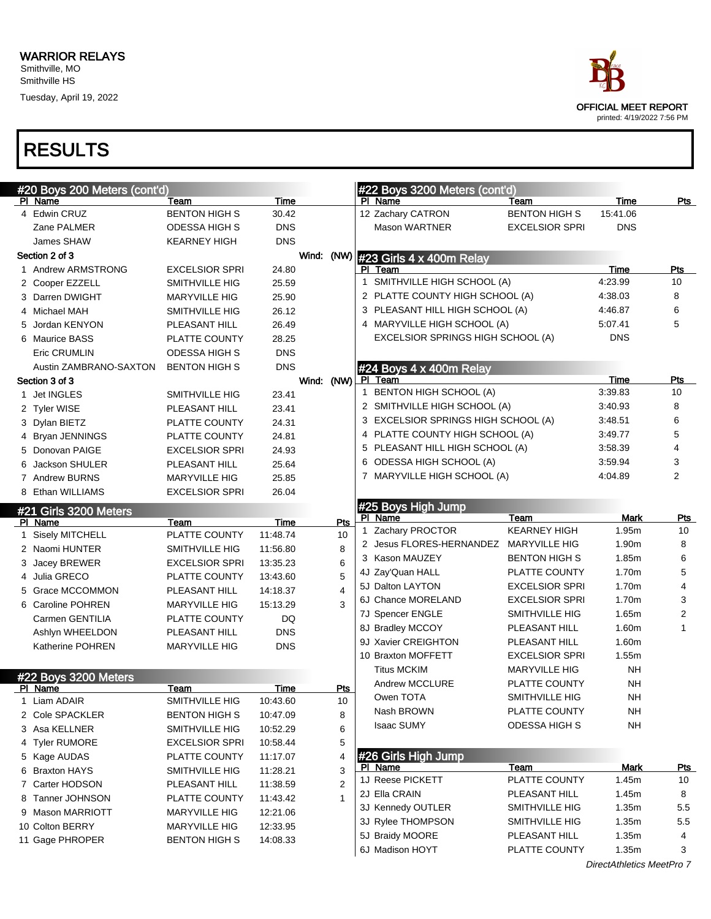

| #20 Boys 200 Meters (cont'd)   |                                 |                         |                    |              | #22 Boys 3200 Meters (cont'd)       |                       |             |                |  |
|--------------------------------|---------------------------------|-------------------------|--------------------|--------------|-------------------------------------|-----------------------|-------------|----------------|--|
| PI Name                        | Team                            | Time                    |                    |              | PI Name                             | Team                  | Time        | Pts            |  |
| 4 Edwin CRUZ                   | <b>BENTON HIGH S</b>            | 30.42                   |                    |              | 12 Zachary CATRON                   | <b>BENTON HIGH S</b>  | 15:41.06    |                |  |
| Zane PALMER                    | <b>ODESSA HIGH S</b>            | <b>DNS</b>              |                    |              | <b>Mason WARTNER</b>                | <b>EXCELSIOR SPRI</b> | <b>DNS</b>  |                |  |
| James SHAW                     | <b>KEARNEY HIGH</b>             | DNS                     |                    |              |                                     |                       |             |                |  |
| Section 2 of 3                 |                                 |                         | Wind: (NW)         |              | #23 Girls 4 x 400m Relay            |                       |             |                |  |
| 1 Andrew ARMSTRONG             | <b>EXCELSIOR SPRI</b>           | 24.80                   |                    |              | PI Team                             |                       | Time        | Pts            |  |
| 2 Cooper EZZELL                | SMITHVILLE HIG                  | 25.59                   |                    | $\mathbf{1}$ | SMITHVILLE HIGH SCHOOL (A)          |                       | 4:23.99     | 10             |  |
| 3 Darren DWIGHT                | <b>MARYVILLE HIG</b>            | 25.90                   |                    |              | 2 PLATTE COUNTY HIGH SCHOOL (A)     |                       | 4:38.03     | 8              |  |
| 4 Michael MAH                  | SMITHVILLE HIG                  | 26.12                   |                    |              | 3 PLEASANT HILL HIGH SCHOOL (A)     |                       | 4:46.87     | 6              |  |
| 5 Jordan KENYON                | PLEASANT HILL                   | 26.49                   |                    |              | 4 MARYVILLE HIGH SCHOOL (A)         |                       | 5:07.41     | 5              |  |
| 6 Maurice BASS                 | PLATTE COUNTY                   | 28.25                   |                    |              | EXCELSIOR SPRINGS HIGH SCHOOL (A)   |                       | <b>DNS</b>  |                |  |
| Eric CRUMLIN                   | <b>ODESSA HIGH S</b>            | <b>DNS</b>              |                    |              |                                     |                       |             |                |  |
| Austin ZAMBRANO-SAXTON         | <b>BENTON HIGH S</b>            | <b>DNS</b>              |                    |              | #24 Boys 4 x 400m Relay             |                       |             |                |  |
| Section 3 of 3                 |                                 |                         | Wind: (NW)         |              | PI Team                             |                       | Time        | Pts            |  |
| 1 Jet INGLES                   | SMITHVILLE HIG                  | 23.41                   |                    | 1            | BENTON HIGH SCHOOL (A)              |                       | 3:39.83     | 10             |  |
| 2 Tyler WISE                   | PLEASANT HILL                   | 23.41                   |                    |              | 2 SMITHVILLE HIGH SCHOOL (A)        |                       | 3:40.93     | 8              |  |
| 3 Dylan BIETZ                  | PLATTE COUNTY                   | 24.31                   |                    |              | 3 EXCELSIOR SPRINGS HIGH SCHOOL (A) |                       | 3:48.51     | 6              |  |
| 4 Bryan JENNINGS               | PLATTE COUNTY                   | 24.81                   |                    |              | 4 PLATTE COUNTY HIGH SCHOOL (A)     |                       | 3:49.77     | 5              |  |
| 5 Donovan PAIGE                | <b>EXCELSIOR SPRI</b>           | 24.93                   |                    |              | 5 PLEASANT HILL HIGH SCHOOL (A)     |                       | 3:58.39     | 4              |  |
| 6 Jackson SHULER               | PLEASANT HILL                   | 25.64                   |                    |              | 6 ODESSA HIGH SCHOOL (A)            |                       | 3:59.94     | 3              |  |
| 7 Andrew BURNS                 | <b>MARYVILLE HIG</b>            | 25.85                   |                    |              | 7 MARYVILLE HIGH SCHOOL (A)         |                       | 4:04.89     | $\overline{2}$ |  |
| 8 Ethan WILLIAMS               | <b>EXCELSIOR SPRI</b>           | 26.04                   |                    |              |                                     |                       |             |                |  |
| #21 Girls 3200 Meters          |                                 |                         |                    |              | #25 Boys High Jump<br>PI Name       | Team                  | <b>Mark</b> | <u>Pts</u>     |  |
| PI Name                        | Team                            | Time                    | Pts                |              | 1 Zachary PROCTOR                   | <b>KEARNEY HIGH</b>   | 1.95m       | 10             |  |
| 1 Sisely MITCHELL              | PLATTE COUNTY                   | 11:48.74                | 10                 |              | 2 Jesus FLORES-HERNANDEZ            | <b>MARYVILLE HIG</b>  | 1.90m       | 8              |  |
| 2 Naomi HUNTER                 | SMITHVILLE HIG                  | 11:56.80                | 8                  |              | 3 Kason MAUZEY                      | <b>BENTON HIGH S</b>  | 1.85m       | 6              |  |
| 3 Jacey BREWER                 | <b>EXCELSIOR SPRI</b>           | 13:35.23                | 6                  |              | 4J Zay'Quan HALL                    | PLATTE COUNTY         | 1.70m       | 5              |  |
| 4 Julia GRECO                  | PLATTE COUNTY                   | 13:43.60                | 5                  |              | 5J Dalton LAYTON                    | <b>EXCELSIOR SPRI</b> | 1.70m       | 4              |  |
| 5 Grace MCCOMMON               | PLEASANT HILL                   | 14:18.37                | 4                  |              | 6J Chance MORELAND                  | <b>EXCELSIOR SPRI</b> | 1.70m       | 3              |  |
| 6 Caroline POHREN              | <b>MARYVILLE HIG</b>            | 15:13.29                | 3                  |              | 7J Spencer ENGLE                    | SMITHVILLE HIG        | 1.65m       | 2              |  |
| Carmen GENTILIA                | PLATTE COUNTY                   | DQ                      |                    |              | 8J Bradley MCCOY                    | PLEASANT HILL         | 1.60m       | $\mathbf{1}$   |  |
| Ashlyn WHEELDON                | PLEASANT HILL                   | <b>DNS</b>              |                    |              | 9J Xavier CREIGHTON                 | PLEASANT HILL         | 1.60m       |                |  |
| <b>Katherine POHREN</b>        | <b>MARYVILLE HIG</b>            | <b>DNS</b>              |                    |              | 10 Braxton MOFFETT                  | <b>EXCELSIOR SPRI</b> | 1.55m       |                |  |
|                                |                                 |                         |                    |              | <b>Titus MCKIM</b>                  | <b>MARYVILLE HIG</b>  | NΗ          |                |  |
| #22 Boys 3200 Meters           |                                 |                         |                    |              | Andrew MCCLURE                      | PLATTE COUNTY         | NΗ          |                |  |
| PI Name<br>1 Liam ADAIR        | <u>Team</u><br>SMITHVILLE HIG   | <b>Time</b><br>10:43.60 | <b>Pts</b><br>$10$ |              | Owen TOTA                           | SMITHVILLE HIG        | <b>NH</b>   |                |  |
| 2 Cole SPACKLER                | <b>BENTON HIGH S</b>            | 10:47.09                | 8                  |              | Nash BROWN                          | PLATTE COUNTY         | NΗ          |                |  |
| 3 Asa KELLNER                  | SMITHVILLE HIG                  | 10:52.29                | 6                  |              | <b>Isaac SUMY</b>                   | ODESSA HIGH S         | <b>NH</b>   |                |  |
| 4 Tyler RUMORE                 | <b>EXCELSIOR SPRI</b>           | 10:58.44                | 5                  |              |                                     |                       |             |                |  |
|                                |                                 |                         |                    |              | #26 Girls High Jump                 |                       |             |                |  |
| 5 Kage AUDAS<br>6 Braxton HAYS | PLATTE COUNTY<br>SMITHVILLE HIG | 11:17.07<br>11:28.21    | 4<br>3             |              | PI Name                             | Team                  | <b>Mark</b> | <u>Pts</u>     |  |
| 7 Carter HODSON                | PLEASANT HILL                   | 11:38.59                | $\overline{2}$     |              | 1J Reese PICKETT                    | PLATTE COUNTY         | 1.45m       | 10             |  |
| 8 Tanner JOHNSON               | PLATTE COUNTY                   | 11:43.42                | $\mathbf{1}$       |              | 2J Ella CRAIN                       | PLEASANT HILL         | 1.45m       | 8              |  |
| 9 Mason MARRIOTT               | <b>MARYVILLE HIG</b>            |                         |                    |              | 3J Kennedy OUTLER                   | SMITHVILLE HIG        | 1.35m       | 5.5            |  |
| 10 Colton BERRY                | <b>MARYVILLE HIG</b>            | 12:21.06<br>12:33.95    |                    |              | 3J Rylee THOMPSON                   | SMITHVILLE HIG        | 1.35m       | 5.5            |  |
| 11 Gage PHROPER                | <b>BENTON HIGH S</b>            | 14:08.33                |                    |              | 5J Braidy MOORE                     | PLEASANT HILL         | 1.35m       | 4              |  |
|                                |                                 |                         |                    |              | 6J Madison HOYT                     | PLATTE COUNTY         | 1.35m       | 3              |  |
|                                |                                 |                         |                    |              |                                     |                       |             |                |  |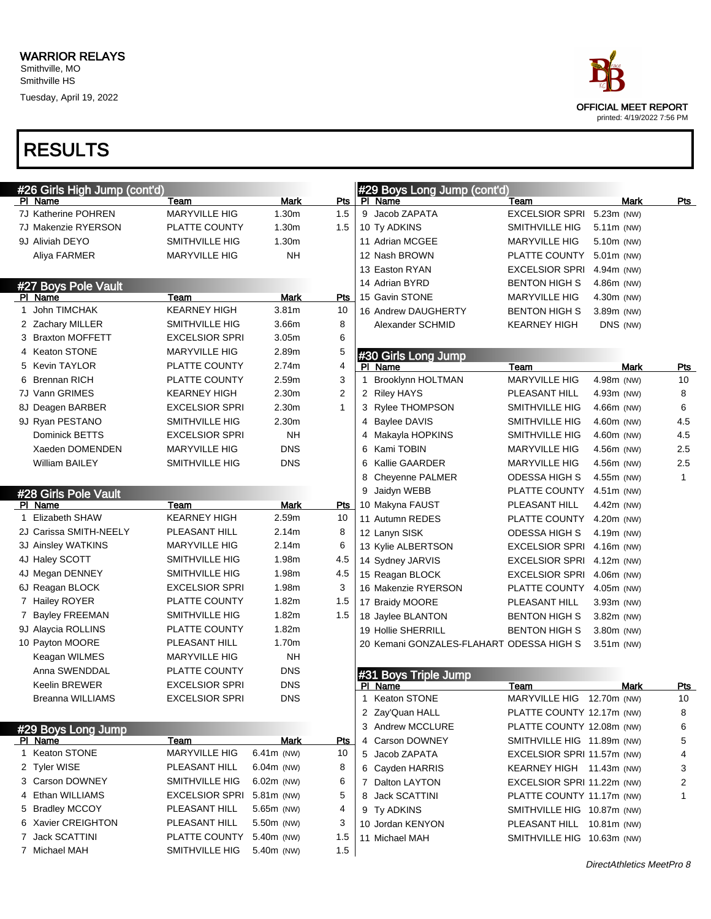

| #26 Girls High Jump (cont'd) |                       |                   |                | #29 Boys Long Jump (cont'd)              |                            |              |              |
|------------------------------|-----------------------|-------------------|----------------|------------------------------------------|----------------------------|--------------|--------------|
| PI Name                      | Team                  | <b>Mark</b>       | Pts            | PI Name                                  | Team                       | Mark         | <u>Pts</u>   |
| 7J Katherine POHREN          | <b>MARYVILLE HIG</b>  | 1.30m             | 1.5            | 9 Jacob ZAPATA                           | <b>EXCELSIOR SPRI</b>      | 5.23m (NW)   |              |
| 7J Makenzie RYERSON          | PLATTE COUNTY         | 1.30 <sub>m</sub> | 1.5            | 10 Ty ADKINS                             | SMITHVILLE HIG             | 5.11m (NW)   |              |
| 9J Aliviah DEYO              | <b>SMITHVILLE HIG</b> | 1.30m             |                | 11 Adrian MCGEE                          | <b>MARYVILLE HIG</b>       | 5.10m (NW)   |              |
| Aliya FARMER                 | <b>MARYVILLE HIG</b>  | <b>NH</b>         |                | 12 Nash BROWN                            | PLATTE COUNTY              | 5.01m (NW)   |              |
|                              |                       |                   |                | 13 Easton RYAN                           | <b>EXCELSIOR SPRI</b>      | 4.94m (NW)   |              |
| #27 Boys Pole Vault          |                       |                   |                | 14 Adrian BYRD                           | <b>BENTON HIGH S</b>       | 4.86m (NW)   |              |
| PI Name                      | Team                  | <b>Mark</b>       | Pts            | 15 Gavin STONE                           | <b>MARYVILLE HIG</b>       | 4.30m (NW)   |              |
| 1 John TIMCHAK               | <b>KEARNEY HIGH</b>   | 3.81 <sub>m</sub> | 10             | 16 Andrew DAUGHERTY                      | <b>BENTON HIGH S</b>       | 3.89m (NW)   |              |
| 2 Zachary MILLER             | SMITHVILLE HIG        | 3.66m             | 8              | Alexander SCHMID                         | <b>KEARNEY HIGH</b>        | DNS (NW)     |              |
| 3 Braxton MOFFETT            | <b>EXCELSIOR SPRI</b> | 3.05 <sub>m</sub> | 6              |                                          |                            |              |              |
| 4 Keaton STONE               | <b>MARYVILLE HIG</b>  | 2.89m             | 5              | #30 Girls Long Jump                      |                            |              |              |
| 5 Kevin TAYLOR               | PLATTE COUNTY         | 2.74m             | 4              | PI Name                                  | Team                       | Mark         | Pts          |
| <b>Brennan RICH</b><br>6     | PLATTE COUNTY         | 2.59m             | 3              | Brooklynn HOLTMAN<br>1                   | <b>MARYVILLE HIG</b>       | 4.98m (NW)   | 10           |
| 7J Vann GRIMES               | <b>KEARNEY HIGH</b>   | 2.30m             | $\overline{2}$ | 2 Riley HAYS                             | PLEASANT HILL              | 4.93m (NW)   | 8            |
| 8J Deagen BARBER             | <b>EXCELSIOR SPRI</b> | 2.30m             | $\mathbf{1}$   | 3 Rylee THOMPSON                         | SMITHVILLE HIG             | 4.66m (NW)   | 6            |
| 9J Ryan PESTANO              | <b>SMITHVILLE HIG</b> | 2.30m             |                | Baylee DAVIS<br>4                        | <b>SMITHVILLE HIG</b>      | 4.60m (NW)   | 4.5          |
| Dominick BETTS               | <b>EXCELSIOR SPRI</b> | <b>NH</b>         |                | Makayla HOPKINS<br>4                     | SMITHVILLE HIG             | 4.60m (NW)   | 4.5          |
| Xaeden DOMENDEN              | <b>MARYVILLE HIG</b>  | <b>DNS</b>        |                | Kami TOBIN<br>6                          | <b>MARYVILLE HIG</b>       | 4.56m (NW)   | 2.5          |
| <b>William BAILEY</b>        | <b>SMITHVILLE HIG</b> | <b>DNS</b>        |                | 6<br><b>Kallie GAARDER</b>               | <b>MARYVILLE HIG</b>       | 4.56m (NW)   | 2.5          |
|                              |                       |                   |                | 8<br><b>Chevenne PALMER</b>              | <b>ODESSA HIGH S</b>       | 4.55m (NW)   | $\mathbf{1}$ |
| #28 Girls Pole Vault         |                       |                   |                | Jaidyn WEBB<br>9                         | PLATTE COUNTY              | 4.51m (NW)   |              |
| PI Name                      | Team                  | <b>Mark</b>       | Pts            | 10 Makyna FAUST                          | PLEASANT HILL              | 4.42m (NW)   |              |
| 1 Elizabeth SHAW             | <b>KEARNEY HIGH</b>   | 2.59m             | 10             | 11 Autumn REDES                          | PLATTE COUNTY              | 4.20m (NW)   |              |
| 2J Carissa SMITH-NEELY       | PLEASANT HILL         | 2.14m             | 8              | 12 Lanyn SISK                            | <b>ODESSA HIGH S</b>       | 4.19m (NW)   |              |
| 3J Ainsley WATKINS           | <b>MARYVILLE HIG</b>  | 2.14m             | 6              | 13 Kylie ALBERTSON                       | <b>EXCELSIOR SPRI</b>      | 4.16m (NW)   |              |
| 4J Haley SCOTT               | SMITHVILLE HIG        | 1.98m             | 4.5            | 14 Sydney JARVIS                         | <b>EXCELSIOR SPRI</b>      | 4.12m (NW)   |              |
| 4J Megan DENNEY              | SMITHVILLE HIG        | 1.98m             | 4.5            | 15 Reagan BLOCK                          | <b>EXCELSIOR SPRI</b>      | 4.06m (NW)   |              |
| 6J Reagan BLOCK              | <b>EXCELSIOR SPRI</b> | 1.98m             | 3              | 16 Makenzie RYERSON                      | PLATTE COUNTY              | 4.05m (NW)   |              |
| 7 Hailey ROYER               | PLATTE COUNTY         | 1.82m             | 1.5            | 17 Braidy MOORE                          | PLEASANT HILL              | 3.93m (NW)   |              |
| 7 Bayley FREEMAN             | SMITHVILLE HIG        | 1.82m             | 1.5            | 18 Jaylee BLANTON                        | <b>BENTON HIGH S</b>       | 3.82m (NW)   |              |
| 9J Alaycia ROLLINS           | PLATTE COUNTY         | 1.82m             |                | 19 Hollie SHERRILL                       | <b>BENTON HIGH S</b>       | 3.80m (NW)   |              |
| 10 Payton MOORE              | PLEASANT HILL         | 1.70m             |                | 20 Kemani GONZALES-FLAHART ODESSA HIGH S |                            | $3.51m$ (NW) |              |
| Keagan WILMES                | <b>MARYVILLE HIG</b>  | <b>NH</b>         |                |                                          |                            |              |              |
| Anna SWENDDAL                | PLATTE COUNTY         | <b>DNS</b>        |                | #31 Boys Triple Jump                     |                            |              |              |
| <b>Keelin BREWER</b>         | <b>EXCELSIOR SPRI</b> | <b>DNS</b>        |                | PI Name                                  | Team                       | Mark         | <u>Pts</u>   |
| Breanna WILLIAMS             | <b>EXCELSIOR SPRI</b> | <b>DNS</b>        |                | 1 Keaton STONE                           | MARYVILLE HIG 12.70m (NW)  |              | 10           |
|                              |                       |                   |                | 2 Zay'Quan HALL                          | PLATTE COUNTY 12.17m (NW)  |              | 8            |
| #29 Boys Long Jump           |                       |                   |                | 3 Andrew MCCLURE                         | PLATTE COUNTY 12.08m (NW)  |              | 6            |
| <u>PI Name</u>               | Team                  | <b>Mark</b>       | <b>Pts</b>     | 4 Carson DOWNEY                          | SMITHVILLE HIG 11.89m (NW) |              | 5            |
| 1 Keaton STONE               | <b>MARYVILLE HIG</b>  | 6.41m (NW)        | 10             | 5 Jacob ZAPATA                           | EXCELSIOR SPRI 11.57m (NW) |              | 4            |
| 2 Tyler WISE                 | PLEASANT HILL         | 6.04m (NW)        | 8              | 6 Cayden HARRIS                          | KEARNEY HIGH 11.43m (NW)   |              | 3            |
| 3 Carson DOWNEY              | <b>SMITHVILLE HIG</b> | $6.02m$ (NW)      | 6              | 7 Dalton LAYTON                          | EXCELSIOR SPRI 11.22m (NW) |              | 2            |
| 4 Ethan WILLIAMS             | <b>EXCELSIOR SPRI</b> | 5.81m (NW)        | 5              | 8 Jack SCATTINI                          | PLATTE COUNTY 11.17m (NW)  |              | 1            |
| 5 Bradley MCCOY              | PLEASANT HILL         | 5.65m (NW)        | 4              | 9 Ty ADKINS                              | SMITHVILLE HIG 10.87m (NW) |              |              |
| 6 Xavier CREIGHTON           | PLEASANT HILL         | 5.50m (NW)        | 3              | 10 Jordan KENYON                         | PLEASANT HILL 10.81m (NW)  |              |              |
| 7 Jack SCATTINI              | PLATTE COUNTY         | 5.40m (NW)        | 1.5            | 11 Michael MAH                           | SMITHVILLE HIG 10.63m (NW) |              |              |
| 7 Michael MAH                | SMITHVILLE HIG        | 5.40m (NW)        | 1.5            |                                          |                            |              |              |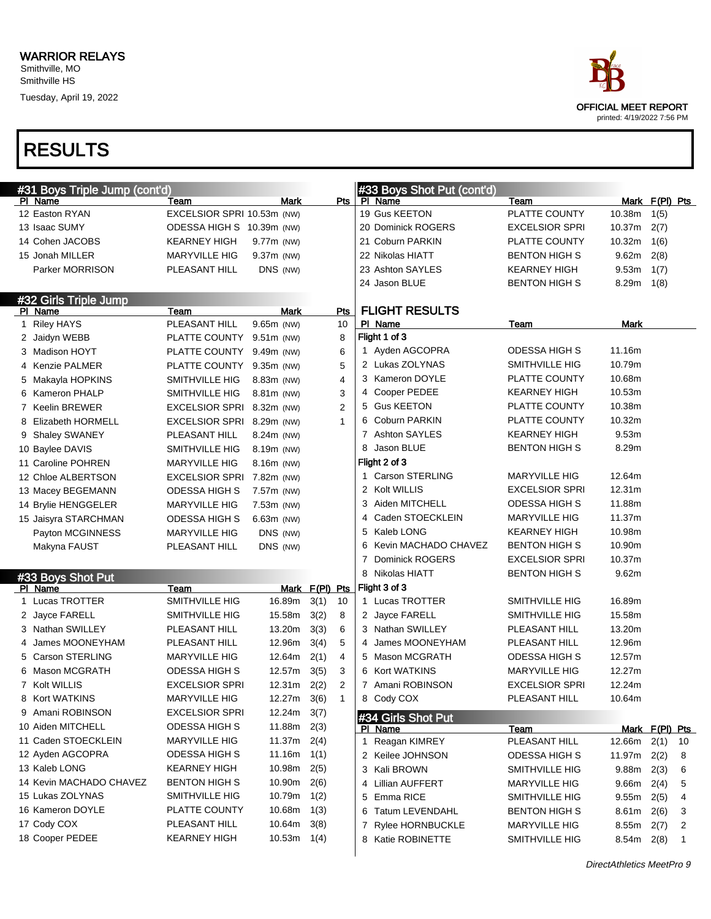

| #31 Boys Triple Jump (cont'd) |                            |               |                |             |   | #33 Boys Shot Put (cont'd) |                       |        |                |              |
|-------------------------------|----------------------------|---------------|----------------|-------------|---|----------------------------|-----------------------|--------|----------------|--------------|
| PI Name                       | Team                       | Mark          |                | Pts         |   | PI Name                    | Team                  |        | Mark F(PI) Pts |              |
| 12 Easton RYAN                | EXCELSIOR SPRI 10.53m (NW) |               |                |             |   | 19 Gus KEETON              | PLATTE COUNTY         | 10.38m | 1(5)           |              |
| 13 Isaac SUMY                 | ODESSA HIGH S 10.39m (NW)  |               |                |             |   | 20 Dominick ROGERS         | <b>EXCELSIOR SPRI</b> | 10.37m | 2(7)           |              |
| 14 Cohen JACOBS               | <b>KEARNEY HIGH</b>        | 9.77m (NW)    |                |             |   | 21 Coburn PARKIN           | PLATTE COUNTY         | 10.32m | 1(6)           |              |
| 15 Jonah MILLER               | <b>MARYVILLE HIG</b>       | 9.37m (NW)    |                |             |   | 22 Nikolas HIATT           | <b>BENTON HIGH S</b>  | 9.62m  | 2(8)           |              |
| Parker MORRISON               | PLEASANT HILL              | DNS (NW)      |                |             |   | 23 Ashton SAYLES           | <b>KEARNEY HIGH</b>   | 9.53m  | 1(7)           |              |
|                               |                            |               |                |             |   | 24 Jason BLUE              | <b>BENTON HIGH S</b>  | 8.29m  | 1(8)           |              |
| #32 Girls Triple Jump         |                            |               |                |             |   |                            |                       |        |                |              |
| PI Name                       | Team                       | Mark          |                | Pts         |   | <b>FLIGHT RESULTS</b>      |                       |        |                |              |
| 1 Riley HAYS                  | PLEASANT HILL              | 9.65m (NW)    |                | 10          |   | PI Name                    | Team                  | Mark   |                |              |
| 2 Jaidyn WEBB                 | PLATTE COUNTY              | 9.51m (NW)    |                | 8           |   | Flight 1 of 3              |                       |        |                |              |
| 3 Madison HOYT                | PLATTE COUNTY              | 9.49m (NW)    |                | 6           |   | 1 Ayden AGCOPRA            | <b>ODESSA HIGH S</b>  | 11.16m |                |              |
| 4 Kenzie PALMER               | PLATTE COUNTY              | $9.35m$ (NW)  |                | 5           |   | 2 Lukas ZOLYNAS            | <b>SMITHVILLE HIG</b> | 10.79m |                |              |
| 5 Makayla HOPKINS             | SMITHVILLE HIG             | 8.83m (NW)    |                | 4           |   | 3 Kameron DOYLE            | PLATTE COUNTY         | 10.68m |                |              |
| 6 Kameron PHALP               | SMITHVILLE HIG             | 8.81m (NW)    |                | 3           |   | 4 Cooper PEDEE             | <b>KEARNEY HIGH</b>   | 10.53m |                |              |
| 7 Keelin BREWER               | <b>EXCELSIOR SPRI</b>      | 8.32m (NW)    |                | 2           |   | 5 Gus KEETON               | PLATTE COUNTY         | 10.38m |                |              |
| 8 Elizabeth HORMELL           | EXCELSIOR SPRI 8.29m (NW)  |               |                | 1           |   | 6 Coburn PARKIN            | PLATTE COUNTY         | 10.32m |                |              |
| 9 Shaley SWANEY               | PLEASANT HILL              | 8.24m (NW)    |                |             |   | 7 Ashton SAYLES            | <b>KEARNEY HIGH</b>   | 9.53m  |                |              |
| 10 Baylee DAVIS               | <b>SMITHVILLE HIG</b>      | 8.19m (NW)    |                |             | 8 | Jason BLUE                 | <b>BENTON HIGH S</b>  | 8.29m  |                |              |
| 11 Caroline POHREN            | <b>MARYVILLE HIG</b>       | 8.16m (NW)    |                |             |   | Flight 2 of 3              |                       |        |                |              |
| 12 Chloe ALBERTSON            | <b>EXCELSIOR SPRI</b>      | 7.82m (NW)    |                |             |   | 1 Carson STERLING          | <b>MARYVILLE HIG</b>  | 12.64m |                |              |
| 13 Macey BEGEMANN             | <b>ODESSA HIGH S</b>       | 7.57m (NW)    |                |             |   | 2 Kolt WILLIS              | <b>EXCELSIOR SPRI</b> | 12.31m |                |              |
| 14 Brylie HENGGELER           | <b>MARYVILLE HIG</b>       | 7.53m (NW)    |                |             |   | 3 Aiden MITCHELL           | <b>ODESSA HIGH S</b>  | 11.88m |                |              |
| 15 Jaisyra STARCHMAN          | <b>ODESSA HIGH S</b>       | $6.63m$ (NW)  |                |             | 4 | Caden STOECKLEIN           | <b>MARYVILLE HIG</b>  | 11.37m |                |              |
| Payton MCGINNESS              | <b>MARYVILLE HIG</b>       | DNS (NW)      |                |             |   | 5 Kaleb LONG               | <b>KEARNEY HIGH</b>   | 10.98m |                |              |
| Makyna FAUST                  | PLEASANT HILL              | DNS (NW)      |                |             |   | 6 Kevin MACHADO CHAVEZ     | <b>BENTON HIGH S</b>  | 10.90m |                |              |
|                               |                            |               |                |             | 7 | <b>Dominick ROGERS</b>     | <b>EXCELSIOR SPRI</b> | 10.37m |                |              |
| #33 Boys Shot Put             |                            |               |                |             |   | 8 Nikolas HIATT            | <b>BENTON HIGH S</b>  | 9.62m  |                |              |
| PI Name                       | Team                       |               | Mark F(PI) Pts |             |   | Flight 3 of 3              |                       |        |                |              |
| 1 Lucas TROTTER               | SMITHVILLE HIG             | 16.89m        | 3(1)           | 10          |   | 1 Lucas TROTTER            | SMITHVILLE HIG        | 16.89m |                |              |
| 2 Jayce FARELL                | SMITHVILLE HIG             | 15.58m        | 3(2)           | 8           |   | 2 Jayce FARELL             | <b>SMITHVILLE HIG</b> | 15.58m |                |              |
| 3 Nathan SWILLEY              | PLEASANT HILL              | 13.20m        | 3(3)           | 6           |   | 3 Nathan SWILLEY           | PLEASANT HILL         | 13.20m |                |              |
| 4 James MOONEYHAM             | PLEASANT HILL              | 12.96m        | 3(4)           | 5           | 4 | James MOONEYHAM            | PLEASANT HILL         | 12.96m |                |              |
| 5 Carson STERLING             | <b>MARYVILLE HIG</b>       | 12.64m        | 2(1)           | 4           |   | 5 Mason MCGRATH            | <b>ODESSA HIGH S</b>  | 12.57m |                |              |
| 6 Mason MCGRATH               | <b>ODESSA HIGH S</b>       | 12.57m        | 3(5)           | 3           |   | 6 Kort WATKINS             | <b>MARYVILLE HIG</b>  | 12.27m |                |              |
| 7 Kolt WILLIS                 | <b>EXCELSIOR SPRI</b>      | 12.31m        | 2(2)           | 2           |   | 7 Amani ROBINSON           | <b>EXCELSIOR SPRI</b> | 12.24m |                |              |
| 8 Kort WATKINS                | <b>MARYVILLE HIG</b>       | 12.27m 3(6)   |                | $\mathbf 1$ | 8 | Cody COX                   | PLEASANT HILL         | 10.64m |                |              |
| 9 Amani ROBINSON              | <b>EXCELSIOR SPRI</b>      | $12.24m$ 3(7) |                |             |   | #34 Girls Shot Put         |                       |        |                |              |
| 10 Aiden MITCHELL             | ODESSA HIGH S              | 11.88m        | 2(3)           |             |   | PI Name                    | Team                  |        | Mark F(PI) Pts |              |
| 11 Caden STOECKLEIN           | <b>MARYVILLE HIG</b>       | 11.37m        | 2(4)           |             |   | 1 Reagan KIMREY            | PLEASANT HILL         | 12.66m | 2(1)           | 10           |
| 12 Ayden AGCOPRA              | ODESSA HIGH S              | 11.16m        | 1(1)           |             |   | 2 Keilee JOHNSON           | ODESSA HIGH S         | 11.97m | 2(2)           | 8            |
| 13 Kaleb LONG                 | <b>KEARNEY HIGH</b>        | 10.98m        | 2(5)           |             |   | 3 Kali BROWN               | <b>SMITHVILLE HIG</b> | 9.88m  | 2(3)           | 6            |
| 14 Kevin MACHADO CHAVEZ       | <b>BENTON HIGH S</b>       | 10.90m        | 2(6)           |             |   | 4 Lillian AUFFERT          | <b>MARYVILLE HIG</b>  | 9.66m  | 2(4)           | 5            |
| 15 Lukas ZOLYNAS              | SMITHVILLE HIG             | 10.79m        | 1(2)           |             |   | 5 Emma RICE                | <b>SMITHVILLE HIG</b> | 9.55m  | 2(5)           | 4            |
| 16 Kameron DOYLE              | PLATTE COUNTY              | 10.68m        | 1(3)           |             |   | 6 Tatum LEVENDAHL          | BENTON HIGH S         | 8.61m  | 2(6)           | 3            |
| 17 Cody COX                   | PLEASANT HILL              | 10.64m        | 3(8)           |             |   | 7 Rylee HORNBUCKLE         | <b>MARYVILLE HIG</b>  | 8.55m  | 2(7)           | 2            |
| 18 Cooper PEDEE               | <b>KEARNEY HIGH</b>        | 10.53m        | 1(4)           |             |   | 8 Katie ROBINETTE          | <b>SMITHVILLE HIG</b> | 8.54m  | 2(8)           | $\mathbf{1}$ |
|                               |                            |               |                |             |   |                            |                       |        |                |              |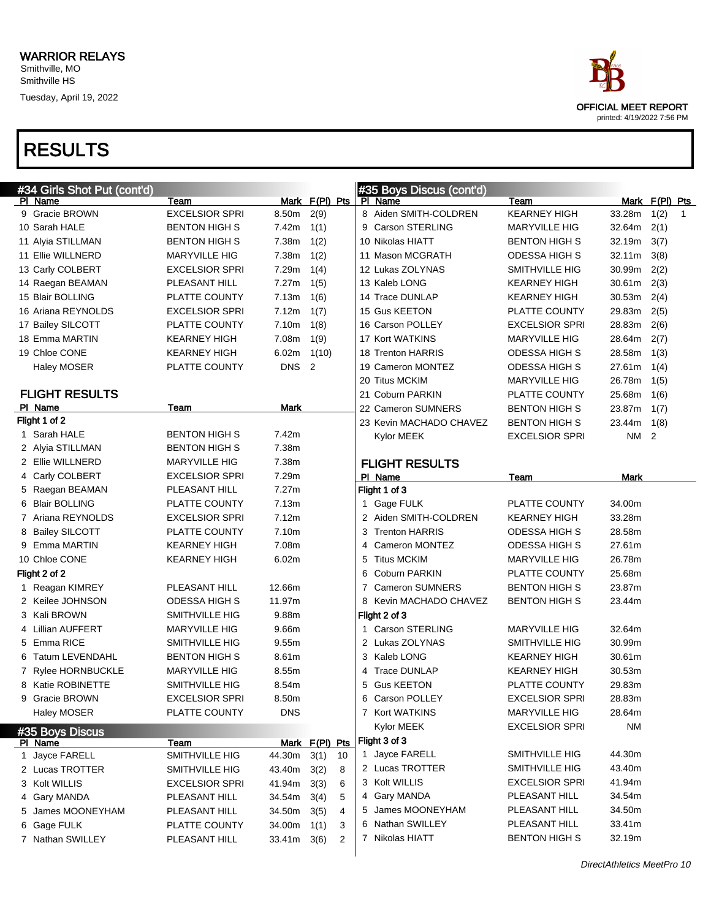| ace                        |
|----------------------------|
| OFFICIAL MEET REPORT       |
| printed: 4/19/2022 7:56 PM |

| #34 Girls Shot Put (cont'd) |                       |             |                            |   | #35 Boys Discus (cont'd) |                       |           |                |              |
|-----------------------------|-----------------------|-------------|----------------------------|---|--------------------------|-----------------------|-----------|----------------|--------------|
| PI Name                     | Team                  |             | Mark F(PI) Pts             |   | PI Name                  | Team                  |           | Mark F(PI) Pts |              |
| 9 Gracie BROWN              | <b>EXCELSIOR SPRI</b> | 8.50m       | 2(9)                       |   | 8 Aiden SMITH-COLDREN    | <b>KEARNEY HIGH</b>   | 33.28m    | 1(2)           | $\mathbf{1}$ |
| 10 Sarah HALE               | <b>BENTON HIGH S</b>  | 7.42m       | 1(1)                       |   | 9 Carson STERLING        | <b>MARYVILLE HIG</b>  | 32.64m    | 2(1)           |              |
| 11 Alyia STILLMAN           | <b>BENTON HIGH S</b>  | 7.38m       | 1(2)                       |   | 10 Nikolas HIATT         | <b>BENTON HIGH S</b>  | 32.19m    | 3(7)           |              |
| 11 Ellie WILLNERD           | MARYVILLE HIG         | 7.38m       | 1(2)                       |   | 11 Mason MCGRATH         | ODESSA HIGH S         | 32.11m    | 3(8)           |              |
| 13 Carly COLBERT            | <b>EXCELSIOR SPRI</b> | 7.29m       | 1(4)                       |   | 12 Lukas ZOLYNAS         | SMITHVILLE HIG        | 30.99m    | 2(2)           |              |
| 14 Raegan BEAMAN            | PLEASANT HILL         | 7.27m       | 1(5)                       |   | 13 Kaleb LONG            | <b>KEARNEY HIGH</b>   | 30.61m    | 2(3)           |              |
| 15 Blair BOLLING            | PLATTE COUNTY         | 7.13m       | 1(6)                       |   | 14 Trace DUNLAP          | <b>KEARNEY HIGH</b>   | 30.53m    | 2(4)           |              |
| 16 Ariana REYNOLDS          | <b>EXCELSIOR SPRI</b> | 7.12m       | 1(7)                       |   | 15 Gus KEETON            | PLATTE COUNTY         | 29.83m    | 2(5)           |              |
| 17 Bailey SILCOTT           | PLATTE COUNTY         | 7.10m       | 1(8)                       |   | 16 Carson POLLEY         | <b>EXCELSIOR SPRI</b> | 28.83m    | 2(6)           |              |
| 18 Emma MARTIN              | <b>KEARNEY HIGH</b>   | 7.08m       | 1(9)                       |   | 17 Kort WATKINS          | MARYVILLE HIG         | 28.64m    | 2(7)           |              |
| 19 Chloe CONE               | <b>KEARNEY HIGH</b>   | 6.02m       | 1(10)                      |   | 18 Trenton HARRIS        | ODESSA HIGH S         | 28.58m    | 1(3)           |              |
| <b>Haley MOSER</b>          | PLATTE COUNTY         | DNS.        | $\overline{\phantom{0}}^2$ |   | 19 Cameron MONTEZ        | ODESSA HIGH S         | 27.61m    | 1(4)           |              |
|                             |                       |             |                            |   | 20 Titus MCKIM           | <b>MARYVILLE HIG</b>  | 26.78m    | 1(5)           |              |
| <b>FLIGHT RESULTS</b>       |                       |             |                            |   | 21 Coburn PARKIN         | PLATTE COUNTY         | 25.68m    | 1(6)           |              |
| PI Name                     | Team                  | Mark        |                            |   | 22 Cameron SUMNERS       | <b>BENTON HIGH S</b>  | 23.87m    | 1(7)           |              |
| Flight 1 of 2               |                       |             |                            |   | 23 Kevin MACHADO CHAVEZ  | <b>BENTON HIGH S</b>  | 23.44m    | 1(8)           |              |
| 1 Sarah HALE                | <b>BENTON HIGH S</b>  | 7.42m       |                            |   | Kylor MEEK               | <b>EXCELSIOR SPRI</b> | NM        | $\overline{2}$ |              |
| 2 Alyia STILLMAN            | BENTON HIGH S         | 7.38m       |                            |   |                          |                       |           |                |              |
| 2 Ellie WILLNERD            | <b>MARYVILLE HIG</b>  | 7.38m       |                            |   | <b>FLIGHT RESULTS</b>    |                       |           |                |              |
| 4 Carly COLBERT             | <b>EXCELSIOR SPRI</b> | 7.29m       |                            |   | PI Name                  | Team                  | Mark      |                |              |
| 5 Raegan BEAMAN             | PLEASANT HILL         | 7.27m       |                            |   | Flight 1 of 3            |                       |           |                |              |
| 6 Blair BOLLING             | PLATTE COUNTY         | 7.13m       |                            |   | 1 Gage FULK              | PLATTE COUNTY         | 34.00m    |                |              |
| 7 Ariana REYNOLDS           | <b>EXCELSIOR SPRI</b> | 7.12m       |                            |   | 2 Aiden SMITH-COLDREN    | <b>KEARNEY HIGH</b>   | 33.28m    |                |              |
| 8 Bailey SILCOTT            | PLATTE COUNTY         | 7.10m       |                            |   | 3 Trenton HARRIS         | <b>ODESSA HIGH S</b>  | 28.58m    |                |              |
| 9 Emma MARTIN               | <b>KEARNEY HIGH</b>   | 7.08m       |                            | 4 | Cameron MONTEZ           | <b>ODESSA HIGH S</b>  | 27.61m    |                |              |
| 10 Chloe CONE               | <b>KEARNEY HIGH</b>   | 6.02m       |                            | 5 | <b>Titus MCKIM</b>       | MARYVILLE HIG         | 26.78m    |                |              |
| Flight 2 of 2               |                       |             |                            | 6 | <b>Coburn PARKIN</b>     | PLATTE COUNTY         | 25.68m    |                |              |
| 1 Reagan KIMREY             | PLEASANT HILL         | 12.66m      |                            | 7 | <b>Cameron SUMNERS</b>   | <b>BENTON HIGH S</b>  | 23.87m    |                |              |
| 2 Keilee JOHNSON            | <b>ODESSA HIGH S</b>  | 11.97m      |                            |   | 8 Kevin MACHADO CHAVEZ   | <b>BENTON HIGH S</b>  | 23.44m    |                |              |
| 3 Kali BROWN                | SMITHVILLE HIG        | 9.88m       |                            |   | Flight 2 of 3            |                       |           |                |              |
| 4 Lillian AUFFERT           | <b>MARYVILLE HIG</b>  | 9.66m       |                            |   | 1 Carson STERLING        | <b>MARYVILLE HIG</b>  | 32.64m    |                |              |
| 5 Emma RICE                 | SMITHVILLE HIG        | 9.55m       |                            |   | 2 Lukas ZOLYNAS          | SMITHVILLE HIG        | 30.99m    |                |              |
| 6 Tatum LEVENDAHL           | BENTON HIGH S         | 8.61m       |                            |   | 3 Kaleb LONG             | KEARNEY HIGH          | 30.61m    |                |              |
| 7 Rylee HORNBUCKLE          | <b>MARYVILLE HIG</b>  | 8.55m       |                            | 4 | <b>Trace DUNLAP</b>      | KEARNEY HIGH          | 30.53m    |                |              |
| 8 Katie ROBINETTE           | SMITHVILLE HIG        | 8.54m       |                            | 5 | <b>Gus KEETON</b>        | PLATTE COUNTY         | 29.83m    |                |              |
| 9 Gracie BROWN              | <b>EXCELSIOR SPRI</b> | 8.50m       |                            | 6 | <b>Carson POLLEY</b>     | <b>EXCELSIOR SPRI</b> | 28.83m    |                |              |
| Haley MOSER                 | PLATTE COUNTY         | <b>DNS</b>  |                            |   | 7 Kort WATKINS           | <b>MARYVILLE HIG</b>  | 28.64m    |                |              |
| #35 Boys Discus             |                       |             |                            |   | Kylor MEEK               | <b>EXCELSIOR SPRI</b> | <b>NM</b> |                |              |
| PI Name                     | Team                  |             | Mark F(PI) Pts             |   | Flight 3 of 3            |                       |           |                |              |
| 1 Jayce FARELL              | SMITHVILLE HIG        | 44.30m      | 3(1)<br>10                 |   | 1 Jayce FARELL           | SMITHVILLE HIG        | 44.30m    |                |              |
| 2 Lucas TROTTER             | SMITHVILLE HIG        | 43.40m      | 3(2)<br>8                  |   | 2 Lucas TROTTER          | SMITHVILLE HIG        | 43.40m    |                |              |
| 3 Kolt WILLIS               | <b>EXCELSIOR SPRI</b> | 41.94m      | 3(3)<br>6                  |   | 3 Kolt WILLIS            | <b>EXCELSIOR SPRI</b> | 41.94m    |                |              |
| 4 Gary MANDA                | PLEASANT HILL         | 34.54m      | 3(4)<br>5                  |   | 4 Gary MANDA             | PLEASANT HILL         | 34.54m    |                |              |
| 5 James MOONEYHAM           | PLEASANT HILL         | 34.50m      | 3(5)<br>4                  |   | 5 James MOONEYHAM        | PLEASANT HILL         | 34.50m    |                |              |
| 6 Gage FULK                 | PLATTE COUNTY         | 34.00m      | 1(1)<br>3                  |   | 6 Nathan SWILLEY         | PLEASANT HILL         | 33.41m    |                |              |
| 7 Nathan SWILLEY            | PLEASANT HILL         | 33.41m 3(6) | $\overline{c}$             |   | 7 Nikolas HIATT          | <b>BENTON HIGH S</b>  | 32.19m    |                |              |
|                             |                       |             |                            |   |                          |                       |           |                |              |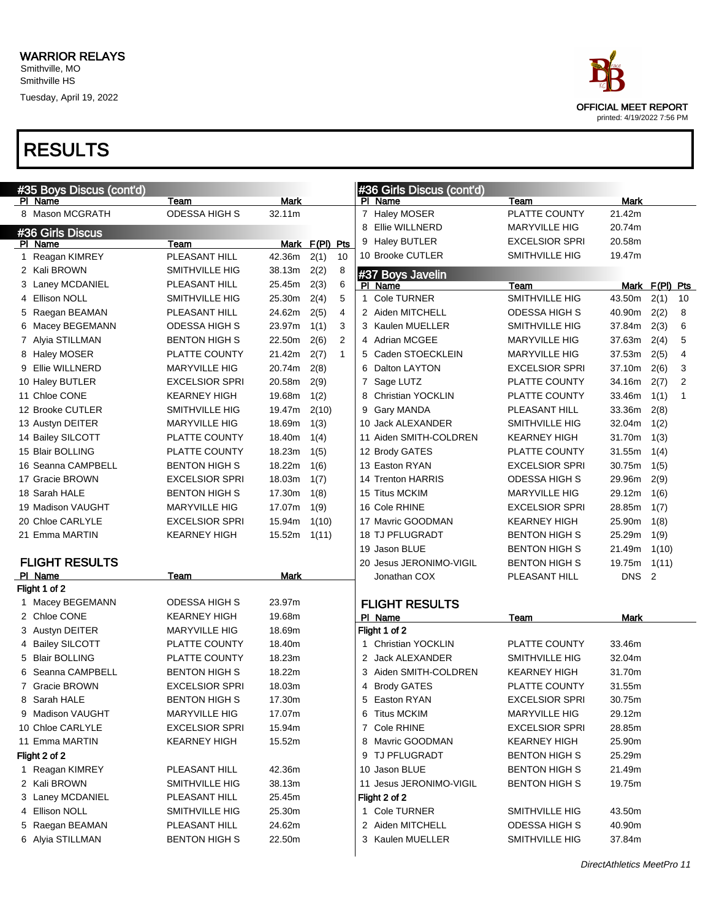

| #35 Boys Discus (cont'd) |                       |             |                |              | #36 Girls Discus (cont'd) |                       |                  |                |                |
|--------------------------|-----------------------|-------------|----------------|--------------|---------------------------|-----------------------|------------------|----------------|----------------|
| PI Name                  | Team                  | <b>Mark</b> |                |              | PI Name                   | Team                  | <b>Mark</b>      |                |                |
| 8 Mason MCGRATH          | <b>ODESSA HIGH S</b>  | 32.11m      |                |              | 7 Haley MOSER             | PLATTE COUNTY         | 21.42m           |                |                |
| #36 Girls Discus         |                       |             |                |              | 8 Ellie WILLNERD          | <b>MARYVILLE HIG</b>  | 20.74m           |                |                |
| PI Name                  | Team                  |             | Mark F(PI) Pts |              | 9 Haley BUTLER            | <b>EXCELSIOR SPRI</b> | 20.58m           |                |                |
| 1 Reagan KIMREY          | PLEASANT HILL         | 42.36m      | 2(1)           | 10           | 10 Brooke CUTLER          | SMITHVILLE HIG        | 19.47m           |                |                |
| 2 Kali BROWN             | SMITHVILLE HIG        | 38.13m      | 2(2)           | 8            | #37 Boys Javelin          |                       |                  |                |                |
| 3 Laney MCDANIEL         | PLEASANT HILL         | 25.45m      | 2(3)           | 6            | PI Name                   | Team                  |                  | Mark F(PI) Pts |                |
| <b>Ellison NOLL</b>      | SMITHVILLE HIG        | 25.30m      | 2(4)           | 5            | 1 Cole TURNER             | SMITHVILLE HIG        | 43.50m           | 2(1)           | 10             |
| 5 Raegan BEAMAN          | PLEASANT HILL         | 24.62m      | 2(5)           | 4            | 2 Aiden MITCHELL          | <b>ODESSA HIGH S</b>  | 40.90m           | 2(2)           | 8              |
| 6 Macey BEGEMANN         | <b>ODESSA HIGH S</b>  | 23.97m      | 1(1)           | 3            | 3 Kaulen MUELLER          | SMITHVILLE HIG        | 37.84m           | 2(3)           | 6              |
| 7 Alyia STILLMAN         | <b>BENTON HIGH S</b>  | 22.50m      | 2(6)           | 2            | 4 Adrian MCGEE            | <b>MARYVILLE HIG</b>  | 37.63m           | 2(4)           | 5              |
| 8 Haley MOSER            | PLATTE COUNTY         | 21.42m      | 2(7)           | $\mathbf{1}$ | 5 Caden STOECKLEIN        | <b>MARYVILLE HIG</b>  | 37.53m           | 2(5)           | 4              |
| Ellie WILLNERD<br>9      | <b>MARYVILLE HIG</b>  | 20.74m      | 2(8)           |              | 6 Dalton LAYTON           | <b>EXCELSIOR SPRI</b> | 37.10m           | 2(6)           | 3              |
| 10 Haley BUTLER          | <b>EXCELSIOR SPRI</b> | 20.58m      | 2(9)           |              | 7 Sage LUTZ               | PLATTE COUNTY         | 34.16m           | 2(7)           | $\overline{2}$ |
| 11 Chloe CONE            | <b>KEARNEY HIGH</b>   | 19.68m      | 1(2)           |              | 8 Christian YOCKLIN       | PLATTE COUNTY         | 33.46m           | 1(1)           | $\mathbf{1}$   |
| 12 Brooke CUTLER         | SMITHVILLE HIG        | 19.47m      | 2(10)          |              | 9 Gary MANDA              | PLEASANT HILL         | 33.36m           | 2(8)           |                |
| 13 Austyn DEITER         | <b>MARYVILLE HIG</b>  | 18.69m      | 1(3)           |              | 10 Jack ALEXANDER         | SMITHVILLE HIG        | 32.04m           | 1(2)           |                |
| 14 Bailey SILCOTT        | PLATTE COUNTY         | 18.40m      | 1(4)           |              | 11 Aiden SMITH-COLDREN    | <b>KEARNEY HIGH</b>   | 31.70m           | 1(3)           |                |
| 15 Blair BOLLING         | PLATTE COUNTY         | 18.23m      | 1(5)           |              | 12 Brody GATES            | PLATTE COUNTY         | 31.55m           | 1(4)           |                |
| 16 Seanna CAMPBELL       | <b>BENTON HIGH S</b>  | 18.22m      | 1(6)           |              | 13 Easton RYAN            | <b>EXCELSIOR SPRI</b> | 30.75m           | 1(5)           |                |
| 17 Gracie BROWN          | <b>EXCELSIOR SPRI</b> | 18.03m      | 1(7)           |              | 14 Trenton HARRIS         | <b>ODESSA HIGH S</b>  | 29.96m           | 2(9)           |                |
| 18 Sarah HALE            | <b>BENTON HIGH S</b>  | 17.30m      | 1(8)           |              | 15 Titus MCKIM            | <b>MARYVILLE HIG</b>  | 29.12m           | 1(6)           |                |
| 19 Madison VAUGHT        | <b>MARYVILLE HIG</b>  | 17.07m      | 1(9)           |              | 16 Cole RHINE             | <b>EXCELSIOR SPRI</b> | 28.85m           | 1(7)           |                |
| 20 Chloe CARLYLE         | <b>EXCELSIOR SPRI</b> | 15.94m      | 1(10)          |              | 17 Mavric GOODMAN         | <b>KEARNEY HIGH</b>   | 25.90m           | 1(8)           |                |
| 21 Emma MARTIN           | <b>KEARNEY HIGH</b>   | 15.52m      | 1(11)          |              | <b>18 TJ PFLUGRADT</b>    | <b>BENTON HIGH S</b>  | 25.29m           | 1(9)           |                |
|                          |                       |             |                |              | 19 Jason BLUE             | <b>BENTON HIGH S</b>  | 21.49m           | 1(10)          |                |
| <b>FLIGHT RESULTS</b>    |                       |             |                |              | 20 Jesus JERONIMO-VIGIL   | <b>BENTON HIGH S</b>  | 19.75m           | 1(11)          |                |
| PI Name                  | Team                  | Mark        |                |              | Jonathan COX              | PLEASANT HILL         | DNS <sub>2</sub> |                |                |
| Flight 1 of 2            |                       |             |                |              |                           |                       |                  |                |                |
| 1 Macey BEGEMANN         | <b>ODESSA HIGH S</b>  | 23.97m      |                |              | <b>FLIGHT RESULTS</b>     |                       |                  |                |                |
| 2 Chloe CONE             | <b>KEARNEY HIGH</b>   | 19.68m      |                |              | PI Name                   | Team                  | Mark             |                |                |
| 3 Austyn DEITER          | <b>MARYVILLE HIG</b>  | 18.69m      |                |              | Flight 1 of 2             |                       |                  |                |                |
| 4 Bailey SILCOTT         | PLATTE COUNTY         | 18.40m      |                |              | 1 Christian YOCKLIN       | <b>PLATTE COUNTY</b>  | 33.46m           |                |                |
| 5 Blair BOLLING          | PLATTE COUNTY         | 18.23m      |                |              | 2 Jack ALEXANDER          | <b>SMITHVILLE HIG</b> | 32.04m           |                |                |
| Seanna CAMPBELL<br>6     | <b>BENTON HIGH S</b>  | 18.22m      |                |              | 3 Aiden SMITH-COLDREN     | <b>KEARNEY HIGH</b>   | 31.70m           |                |                |
| 7 Gracie BROWN           | <b>EXCELSIOR SPRI</b> | 18.03m      |                |              | 4 Brody GATES             | PLATTE COUNTY         | 31.55m           |                |                |
| 8 Sarah HALE             | <b>BENTON HIGH S</b>  | 17.30m      |                |              | 5 Easton RYAN             | <b>EXCELSIOR SPRI</b> | 30.75m           |                |                |
| 9 Madison VAUGHT         | <b>MARYVILLE HIG</b>  | 17.07m      |                |              | 6 Titus MCKIM             | <b>MARYVILLE HIG</b>  | 29.12m           |                |                |
| 10 Chloe CARLYLE         | <b>EXCELSIOR SPRI</b> | 15.94m      |                |              | 7 Cole RHINE              | <b>EXCELSIOR SPRI</b> | 28.85m           |                |                |
| 11 Emma MARTIN           | KEARNEY HIGH          | 15.52m      |                |              | 8 Mavric GOODMAN          | <b>KEARNEY HIGH</b>   | 25.90m           |                |                |
| Flight 2 of 2            |                       |             |                |              | 9 TJ PFLUGRADT            | <b>BENTON HIGH S</b>  | 25.29m           |                |                |
| 1 Reagan KIMREY          | PLEASANT HILL         | 42.36m      |                |              | 10 Jason BLUE             | <b>BENTON HIGH S</b>  | 21.49m           |                |                |
| 2 Kali BROWN             | SMITHVILLE HIG        | 38.13m      |                |              | 11 Jesus JERONIMO-VIGIL   | <b>BENTON HIGH S</b>  | 19.75m           |                |                |
| 3 Laney MCDANIEL         | PLEASANT HILL         | 25.45m      |                |              | Flight 2 of 2             |                       |                  |                |                |
| 4 Ellison NOLL           | SMITHVILLE HIG        | 25.30m      |                |              | 1 Cole TURNER             | SMITHVILLE HIG        | 43.50m           |                |                |
| 5 Raegan BEAMAN          | PLEASANT HILL         | 24.62m      |                |              | 2 Aiden MITCHELL          | <b>ODESSA HIGH S</b>  | 40.90m           |                |                |
| 6 Alyia STILLMAN         | <b>BENTON HIGH S</b>  | 22.50m      |                |              | 3 Kaulen MUELLER          | SMITHVILLE HIG        | 37.84m           |                |                |
|                          |                       |             |                |              |                           |                       |                  |                |                |